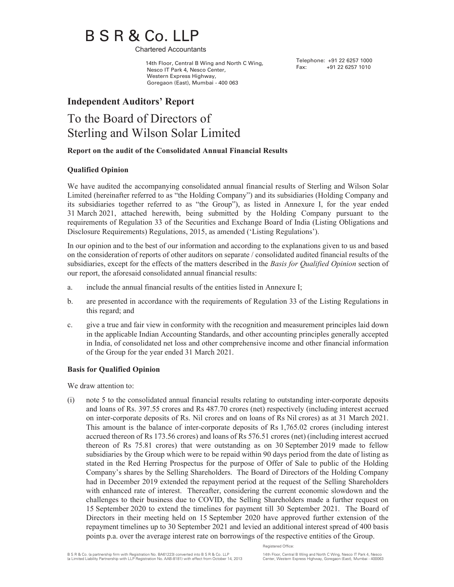# B S R & Co. LLP

Chartered Accountants

 14th Floor, Central B Wing and North C Wing, Nesco IT Park 4, Nesco Center, Western Express Highway, Goregaon (East), Mumbai - 400 063

Telephone: +91 22 6257 1000<br>Fax: +91 22 6257 1010 +91 22 6257 1010

## **Independent Auditors' Report**

## To the Board of Directors of Sterling and Wilson Solar Limited

### **Report on the audit of the Consolidated Annual Financial Results**

### **Qualified Opinion**

We have audited the accompanying consolidated annual financial results of Sterling and Wilson Solar Limited (hereinafter referred to as "the Holding Company") and its subsidiaries (Holding Company and its subsidiaries together referred to as "the Group"), as listed in Annexure I, for the year ended 31 March 2021, attached herewith, being submitted by the Holding Company pursuant to the requirements of Regulation 33 of the Securities and Exchange Board of India (Listing Obligations and Disclosure Requirements) Regulations, 2015, as amended ('Listing Regulations').

In our opinion and to the best of our information and according to the explanations given to us and based on the consideration of reports of other auditors on separate / consolidated audited financial results of the subsidiaries, except for the effects of the matters described in the *Basis for Qualified Opinion* section of our report, the aforesaid consolidated annual financial results:

- a. include the annual financial results of the entities listed in Annexure I;
- b. are presented in accordance with the requirements of Regulation 33 of the Listing Regulations in this regard; and
- c. give a true and fair view in conformity with the recognition and measurement principles laid down in the applicable Indian Accounting Standards, and other accounting principles generally accepted in India, of consolidated net loss and other comprehensive income and other financial information of the Group for the year ended 31 March 2021.

### **Basis for Qualified Opinion**

We draw attention to:

(i) note 5 to the consolidated annual financial results relating to outstanding inter-corporate deposits and loans of Rs. 397.55 crores and Rs 487.70 crores (net) respectively (including interest accrued on inter-corporate deposits of Rs. Nil crores and on loans of Rs Nil crores) as at 31 March 2021. This amount is the balance of inter-corporate deposits of Rs 1,765.02 crores (including interest accrued thereon of Rs 173.56 crores) and loans of Rs 576.51 crores (net) (including interest accrued thereon of Rs 75.81 crores) that were outstanding as on 30 September 2019 made to fellow subsidiaries by the Group which were to be repaid within 90 days period from the date of listing as stated in the Red Herring Prospectus for the purpose of Offer of Sale to public of the Holding Company's shares by the Selling Shareholders. The Board of Directors of the Holding Company had in December 2019 extended the repayment period at the request of the Selling Shareholders with enhanced rate of interest. Thereafter, considering the current economic slowdown and the challenges to their business due to COVID, the Selling Shareholders made a further request on 15 September 2020 to extend the timelines for payment till 30 September 2021. The Board of Directors in their meeting held on 15 September 2020 have approved further extension of the repayment timelines up to 30 September 2021 and levied an additional interest spread of 400 basis points p.a. over the average interest rate on borrowings of the respective entities of the Group.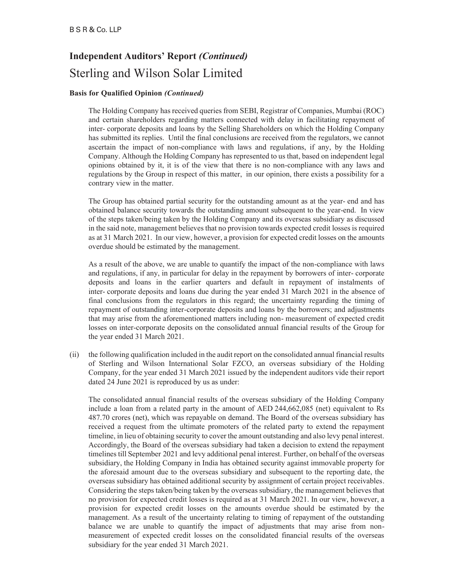### **Basis for Qualified Opinion** *(Continued)*

The Holding Company has received queries from SEBI, Registrar of Companies, Mumbai (ROC) and certain shareholders regarding matters connected with delay in facilitating repayment of inter- corporate deposits and loans by the Selling Shareholders on which the Holding Company has submitted its replies. Until the final conclusions are received from the regulators, we cannot ascertain the impact of non-compliance with laws and regulations, if any, by the Holding Company. Although the Holding Company has represented to us that, based on independent legal opinions obtained by it, it is of the view that there is no non-compliance with any laws and regulations by the Group in respect of this matter, in our opinion, there exists a possibility for a contrary view in the matter.

The Group has obtained partial security for the outstanding amount as at the year- end and has obtained balance security towards the outstanding amount subsequent to the year-end. In view of the steps taken/being taken by the Holding Company and its overseas subsidiary as discussed in the said note, management believes that no provision towards expected credit losses is required as at 31 March 2021. In our view, however, a provision for expected credit losses on the amounts overdue should be estimated by the management.

As a result of the above, we are unable to quantify the impact of the non-compliance with laws and regulations, if any, in particular for delay in the repayment by borrowers of inter- corporate deposits and loans in the earlier quarters and default in repayment of instalments of inter- corporate deposits and loans due during the year ended 31 March 2021 in the absence of final conclusions from the regulators in this regard; the uncertainty regarding the timing of repayment of outstanding inter-corporate deposits and loans by the borrowers; and adjustments that may arise from the aforementioned matters including non- measurement of expected credit losses on inter-corporate deposits on the consolidated annual financial results of the Group for the year ended 31 March 2021.

(ii) the following qualification included in the audit report on the consolidated annual financial results of Sterling and Wilson International Solar FZCO, an overseas subsidiary of the Holding Company, for the year ended 31 March 2021 issued by the independent auditors vide their report dated 24 June 2021 is reproduced by us as under:

The consolidated annual financial results of the overseas subsidiary of the Holding Company include a loan from a related party in the amount of AED 244,662,085 (net) equivalent to Rs 487.70 crores (net), which was repayable on demand. The Board of the overseas subsidiary has received a request from the ultimate promoters of the related party to extend the repayment timeline, in lieu of obtaining security to cover the amount outstanding and also levy penal interest. Accordingly, the Board of the overseas subsidiary had taken a decision to extend the repayment timelines till September 2021 and levy additional penal interest. Further, on behalf of the overseas subsidiary, the Holding Company in India has obtained security against immovable property for the aforesaid amount due to the overseas subsidiary and subsequent to the reporting date, the overseas subsidiary has obtained additional security by assignment of certain project receivables. Considering the steps taken/being taken by the overseas subsidiary, the management believes that no provision for expected credit losses is required as at 31 March 2021. In our view, however, a provision for expected credit losses on the amounts overdue should be estimated by the management. As a result of the uncertainty relating to timing of repayment of the outstanding balance we are unable to quantify the impact of adjustments that may arise from nonmeasurement of expected credit losses on the consolidated financial results of the overseas subsidiary for the year ended 31 March 2021.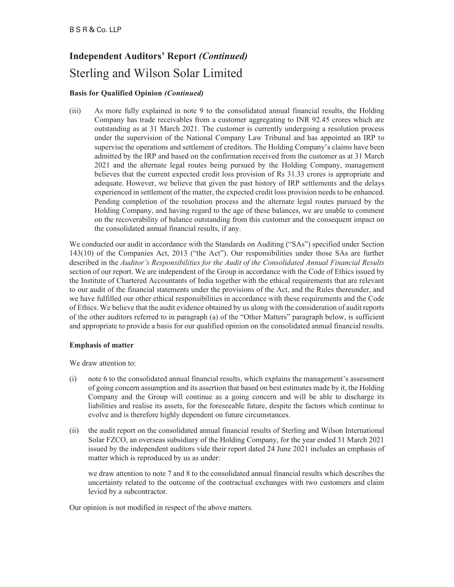### **Basis for Qualified Opinion** *(Continued)*

(iii) As more fully explained in note 9 to the consolidated annual financial results, the Holding Company has trade receivables from a customer aggregating to INR 92.45 crores which are outstanding as at 31 March 2021. The customer is currently undergoing a resolution process under the supervision of the National Company Law Tribunal and has appointed an IRP to supervise the operations and settlement of creditors. The Holding Company's claims have been admitted by the IRP and based on the confirmation received from the customer as at 31 March 2021 and the alternate legal routes being pursued by the Holding Company, management believes that the current expected credit loss provision of Rs 31.33 crores is appropriate and adequate. However, we believe that given the past history of IRP settlements and the delays experienced in settlement of the matter, the expected credit loss provision needs to be enhanced. Pending completion of the resolution process and the alternate legal routes pursued by the Holding Company, and having regard to the age of these balances, we are unable to comment on the recoverability of balance outstanding from this customer and the consequent impact on the consolidated annual financial results, if any.

We conducted our audit in accordance with the Standards on Auditing ("SAs") specified under Section 143(10) of the Companies Act, 2013 ("the Act"). Our responsibilities under those SAs are further described in the *Auditor's Responsibilities for the Audit of the Consolidated Annual Financial Results* section of our report. We are independent of the Group in accordance with the Code of Ethics issued by the Institute of Chartered Accountants of India together with the ethical requirements that are relevant to our audit of the financial statements under the provisions of the Act, and the Rules thereunder, and we have fulfilled our other ethical responsibilities in accordance with these requirements and the Code of Ethics. We believe that the audit evidence obtained by us along with the consideration of audit reports of the other auditors referred to in paragraph (a) of the "Other Matters" paragraph below, is sufficient and appropriate to provide a basis for our qualified opinion on the consolidated annual financial results.

#### **Emphasis of matter**

We draw attention to:

- (i) note 6 to the consolidated annual financial results, which explains the management's assessment of going concern assumption and its assertion that based on best estimates made by it, the Holding Company and the Group will continue as a going concern and will be able to discharge its liabilities and realise its assets, for the foreseeable future, despite the factors which continue to evolve and is therefore highly dependent on future circumstances.
- (ii) the audit report on the consolidated annual financial results of Sterling and Wilson International Solar FZCO, an overseas subsidiary of the Holding Company, for the year ended 31 March 2021 issued by the independent auditors vide their report dated 24 June 2021 includes an emphasis of matter which is reproduced by us as under:

we draw attention to note 7 and 8 to the consolidated annual financial results which describes the uncertainty related to the outcome of the contractual exchanges with two customers and claim levied by a subcontractor.

Our opinion is not modified in respect of the above matters.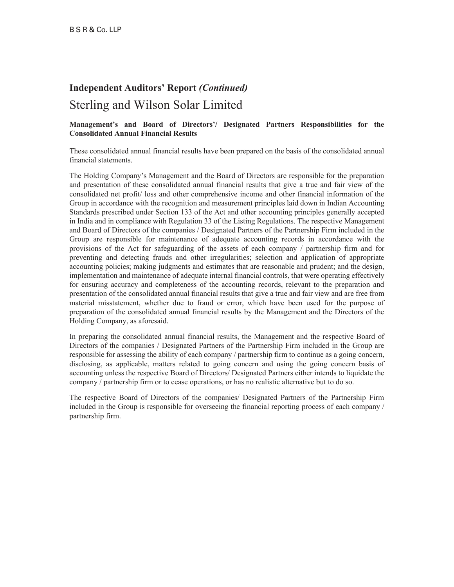### **Management's and Board of Directors'/ Designated Partners Responsibilities for the Consolidated Annual Financial Results**

These consolidated annual financial results have been prepared on the basis of the consolidated annual financial statements.

The Holding Company's Management and the Board of Directors are responsible for the preparation and presentation of these consolidated annual financial results that give a true and fair view of the consolidated net profit/ loss and other comprehensive income and other financial information of the Group in accordance with the recognition and measurement principles laid down in Indian Accounting Standards prescribed under Section 133 of the Act and other accounting principles generally accepted in India and in compliance with Regulation 33 of the Listing Regulations. The respective Management and Board of Directors of the companies / Designated Partners of the Partnership Firm included in the Group are responsible for maintenance of adequate accounting records in accordance with the provisions of the Act for safeguarding of the assets of each company / partnership firm and for preventing and detecting frauds and other irregularities; selection and application of appropriate accounting policies; making judgments and estimates that are reasonable and prudent; and the design, implementation and maintenance of adequate internal financial controls, that were operating effectively for ensuring accuracy and completeness of the accounting records, relevant to the preparation and presentation of the consolidated annual financial results that give a true and fair view and are free from material misstatement, whether due to fraud or error, which have been used for the purpose of preparation of the consolidated annual financial results by the Management and the Directors of the Holding Company, as aforesaid.

In preparing the consolidated annual financial results, the Management and the respective Board of Directors of the companies / Designated Partners of the Partnership Firm included in the Group are responsible for assessing the ability of each company / partnership firm to continue as a going concern, disclosing, as applicable, matters related to going concern and using the going concern basis of accounting unless the respective Board of Directors/ Designated Partners either intends to liquidate the company / partnership firm or to cease operations, or has no realistic alternative but to do so.

The respective Board of Directors of the companies/ Designated Partners of the Partnership Firm included in the Group is responsible for overseeing the financial reporting process of each company / partnership firm.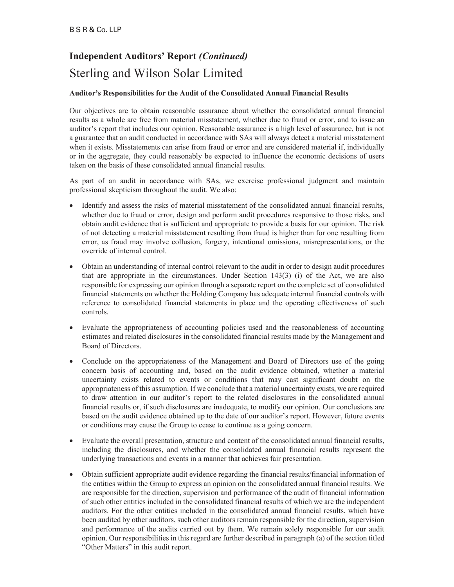### **Auditor's Responsibilities for the Audit of the Consolidated Annual Financial Results**

Our objectives are to obtain reasonable assurance about whether the consolidated annual financial results as a whole are free from material misstatement, whether due to fraud or error, and to issue an auditor's report that includes our opinion. Reasonable assurance is a high level of assurance, but is not a guarantee that an audit conducted in accordance with SAs will always detect a material misstatement when it exists. Misstatements can arise from fraud or error and are considered material if, individually or in the aggregate, they could reasonably be expected to influence the economic decisions of users taken on the basis of these consolidated annual financial results.

As part of an audit in accordance with SAs, we exercise professional judgment and maintain professional skepticism throughout the audit. We also:

- Identify and assess the risks of material misstatement of the consolidated annual financial results, whether due to fraud or error, design and perform audit procedures responsive to those risks, and obtain audit evidence that is sufficient and appropriate to provide a basis for our opinion. The risk of not detecting a material misstatement resulting from fraud is higher than for one resulting from error, as fraud may involve collusion, forgery, intentional omissions, misrepresentations, or the override of internal control.
- Obtain an understanding of internal control relevant to the audit in order to design audit procedures that are appropriate in the circumstances. Under Section  $143(3)$  (i) of the Act, we are also responsible for expressing our opinion through a separate report on the complete set of consolidated financial statements on whether the Holding Company has adequate internal financial controls with reference to consolidated financial statements in place and the operating effectiveness of such controls.
- Evaluate the appropriateness of accounting policies used and the reasonableness of accounting estimates and related disclosures in the consolidated financial results made by the Management and Board of Directors.
- Conclude on the appropriateness of the Management and Board of Directors use of the going concern basis of accounting and, based on the audit evidence obtained, whether a material uncertainty exists related to events or conditions that may cast significant doubt on the appropriateness of this assumption. If we conclude that a material uncertainty exists, we are required to draw attention in our auditor's report to the related disclosures in the consolidated annual financial results or, if such disclosures are inadequate, to modify our opinion. Our conclusions are based on the audit evidence obtained up to the date of our auditor's report. However, future events or conditions may cause the Group to cease to continue as a going concern.
- Evaluate the overall presentation, structure and content of the consolidated annual financial results, including the disclosures, and whether the consolidated annual financial results represent the underlying transactions and events in a manner that achieves fair presentation.
- Obtain sufficient appropriate audit evidence regarding the financial results/financial information of the entities within the Group to express an opinion on the consolidated annual financial results. We are responsible for the direction, supervision and performance of the audit of financial information of such other entities included in the consolidated financial results of which we are the independent auditors. For the other entities included in the consolidated annual financial results, which have been audited by other auditors, such other auditors remain responsible for the direction, supervision and performance of the audits carried out by them. We remain solely responsible for our audit opinion. Our responsibilities in this regard are further described in paragraph (a) of the section titled "Other Matters" in this audit report.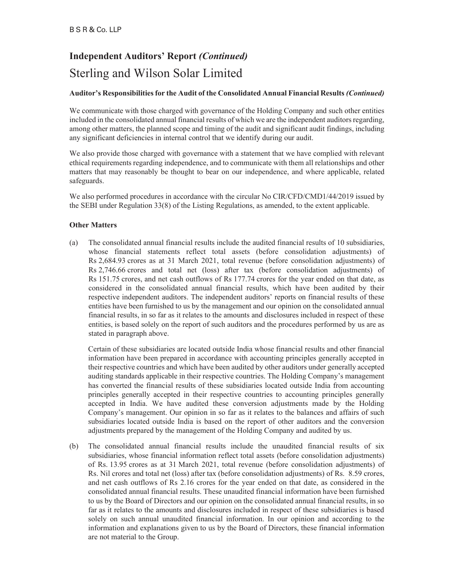### **Auditor's Responsibilities for the Audit of the Consolidated Annual Financial Results** *(Continued)*

We communicate with those charged with governance of the Holding Company and such other entities included in the consolidated annual financial results of which we are the independent auditors regarding, among other matters, the planned scope and timing of the audit and significant audit findings, including any significant deficiencies in internal control that we identify during our audit.

We also provide those charged with governance with a statement that we have complied with relevant ethical requirements regarding independence, and to communicate with them all relationships and other matters that may reasonably be thought to bear on our independence, and where applicable, related safeguards.

We also performed procedures in accordance with the circular No CIR/CFD/CMD1/44/2019 issued by the SEBI under Regulation 33(8) of the Listing Regulations, as amended, to the extent applicable.

### **Other Matters**

(a) The consolidated annual financial results include the audited financial results of 10 subsidiaries, whose financial statements reflect total assets (before consolidation adjustments) of Rs 2,684.93 crores as at 31 March 2021, total revenue (before consolidation adjustments) of Rs 2,746.66 crores and total net (loss) after tax (before consolidation adjustments) of Rs 151.75 crores, and net cash outflows of Rs 177.74 crores for the year ended on that date, as considered in the consolidated annual financial results, which have been audited by their respective independent auditors. The independent auditors' reports on financial results of these entities have been furnished to us by the management and our opinion on the consolidated annual financial results, in so far as it relates to the amounts and disclosures included in respect of these entities, is based solely on the report of such auditors and the procedures performed by us are as stated in paragraph above.

Certain of these subsidiaries are located outside India whose financial results and other financial information have been prepared in accordance with accounting principles generally accepted in their respective countries and which have been audited by other auditors under generally accepted auditing standards applicable in their respective countries. The Holding Company's management has converted the financial results of these subsidiaries located outside India from accounting principles generally accepted in their respective countries to accounting principles generally accepted in India. We have audited these conversion adjustments made by the Holding Company's management. Our opinion in so far as it relates to the balances and affairs of such subsidiaries located outside India is based on the report of other auditors and the conversion adjustments prepared by the management of the Holding Company and audited by us.

(b) The consolidated annual financial results include the unaudited financial results of six subsidiaries, whose financial information reflect total assets (before consolidation adjustments) of Rs. 13.95 crores as at 31 March 2021, total revenue (before consolidation adjustments) of Rs. Nil crores and total net (loss) after tax (before consolidation adjustments) of Rs. 8.59 crores, and net cash outflows of Rs 2.16 crores for the year ended on that date, as considered in the consolidated annual financial results. These unaudited financial information have been furnished to us by the Board of Directors and our opinion on the consolidated annual financial results, in so far as it relates to the amounts and disclosures included in respect of these subsidiaries is based solely on such annual unaudited financial information. In our opinion and according to the information and explanations given to us by the Board of Directors, these financial information are not material to the Group.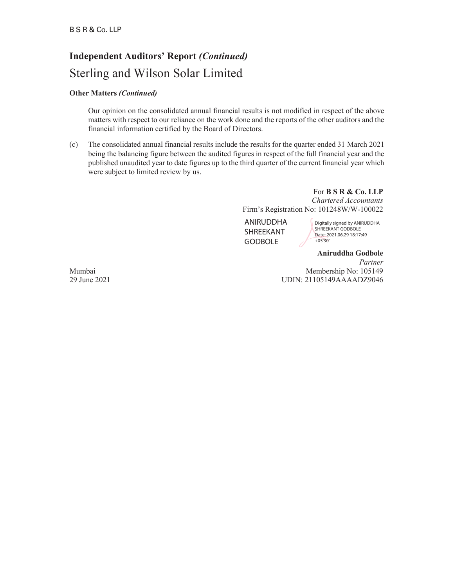### **Other Matters** *(Continued)*

Our opinion on the consolidated annual financial results is not modified in respect of the above matters with respect to our reliance on the work done and the reports of the other auditors and the financial information certified by the Board of Directors.

(c) The consolidated annual financial results include the results for the quarter ended 31 March 2021 being the balancing figure between the audited figures in respect of the full financial year and the published unaudited year to date figures up to the third quarter of the current financial year which were subject to limited review by us.

> For **B S R & Co. LLP** *Chartered Accountants* Firm's Registration No: 101248W/W-100022

ANIRUDDHA SHREEKANT GODBOLE

Digitally signed by ANIRUDDHA SHREEKANT GODBOLE Date: 2021.06.29 18:17:49 +05'30'

**Aniruddha Godbole** *Partner* Mumbai Membership No: 105149 29 June 2021 UDIN: 21105149AAAADZ9046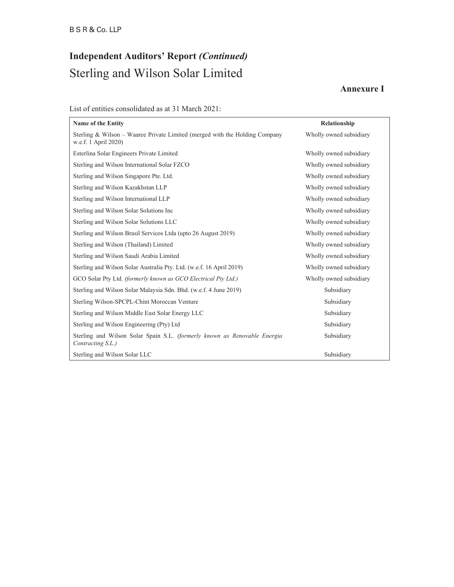## **Annexure I**

List of entities consolidated as at 31 March 2021:

| <b>Name of the Entity</b>                                                                           | Relationship            |
|-----------------------------------------------------------------------------------------------------|-------------------------|
| Sterling & Wilson – Waaree Private Limited (merged with the Holding Company<br>w.e.f. 1 April 2020) | Wholly owned subsidiary |
| Esterlina Solar Engineers Private Limited                                                           | Wholly owned subsidiary |
| Sterling and Wilson International Solar FZCO                                                        | Wholly owned subsidiary |
| Sterling and Wilson Singapore Pte. Ltd.                                                             | Wholly owned subsidiary |
| Sterling and Wilson Kazakhstan LLP                                                                  | Wholly owned subsidiary |
| Sterling and Wilson International LLP                                                               | Wholly owned subsidiary |
| Sterling and Wilson Solar Solutions Inc                                                             | Wholly owned subsidiary |
| Sterling and Wilson Solar Solutions LLC                                                             | Wholly owned subsidiary |
| Sterling and Wilson Brasil Servicos Ltda (upto 26 August 2019)                                      | Wholly owned subsidiary |
| Sterling and Wilson (Thailand) Limited                                                              | Wholly owned subsidiary |
| Sterling and Wilson Saudi Arabia Limited                                                            | Wholly owned subsidiary |
| Sterling and Wilson Solar Australia Pty. Ltd. (w.e.f. 16 April 2019)                                | Wholly owned subsidiary |
| GCO Solar Pty Ltd. (formerly known as GCO Electrical Pty Ltd.)                                      | Wholly owned subsidiary |
| Sterling and Wilson Solar Malaysia Sdn. Bhd. (w.e.f. 4 June 2019)                                   | Subsidiary              |
| Sterling Wilson-SPCPL-Chint Moroccan Venture                                                        | Subsidiary              |
| Sterling and Wilson Middle East Solar Energy LLC                                                    | Subsidiary              |
| Sterling and Wilson Engineering (Pty) Ltd                                                           | Subsidiary              |
| Sterling and Wilson Solar Spain S.L. (formerly known as Renovable Energia<br>Contracting S.L.)      | Subsidiary              |
| Sterling and Wilson Solar LLC                                                                       | Subsidiary              |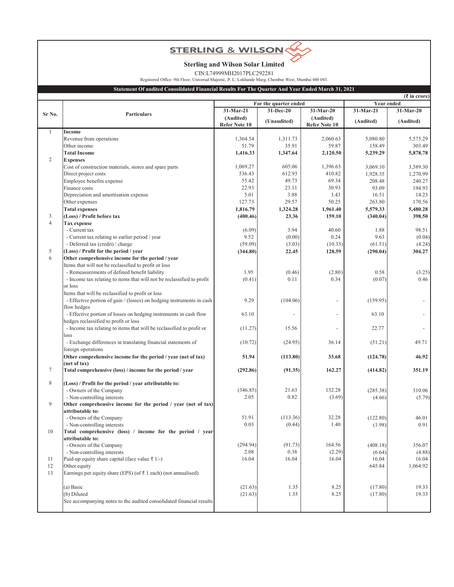

CIN:L74999MH2017PLC292281 Registered Office: 9th Floor, Universal Majestic, P. L. Lokhande Marg, Chembur West, Mumbai 400 043.

**Statement Of audited Consolidated Financial Results For The Quarter And Year Ended March 31, 2021**

|                     |                                                                                              |                |                       |               |              | (₹ in crore)     |
|---------------------|----------------------------------------------------------------------------------------------|----------------|-----------------------|---------------|--------------|------------------|
|                     |                                                                                              |                | For the quarter ended |               | Year ended   |                  |
| Sr No.              | Particulars                                                                                  | 31-Mar-21      | $31 - Dec-20$         | $31-Mar-20$   | 31-Mar-21    | $31-Mar-20$      |
|                     |                                                                                              | (Audited)      |                       | (Audited)     |              |                  |
|                     |                                                                                              | Refer Note 10  | (Unaudited)           | Refer Note 10 | (Audited)    | (Audited)        |
| 1                   | Income                                                                                       |                |                       |               |              |                  |
|                     | Revenue from operations                                                                      | 1.364.54       | 1,311.73              | 2,060.63      | 5,080.80     | 5,575.29         |
|                     | Other income                                                                                 | 51.79          | 35.91                 | 59.87         | 158.49       | 303.49           |
|                     | <b>Total Income</b>                                                                          | 1,416.33       | 1,347.64              | 2,120.50      | 5,239.29     | 5,878.78         |
| $\overline{2}$      | <b>Expenses</b>                                                                              |                |                       |               |              |                  |
|                     | Cost of construction materials, stores and spare parts                                       | 1,069.27       | 605.06                | 1,396.63      | 3,069.10     | 3,589.30         |
|                     | Direct project costs                                                                         | 536.43         | 612.93                | 410.82        | 1,928.35     | 1,270.99         |
|                     | Employee benefits expense                                                                    | 55.42          | 49.73                 | 69.34         | 208.48       | 240.27           |
|                     | Finance costs                                                                                | 22.93          | 23.11                 | 30.93         | 93.09        | 194.93           |
|                     | Depreciation and amortisation expense                                                        | 5.01           | 3.88                  | 3.43          | 16.51        | 14.23            |
|                     | Other expenses                                                                               | 127.73         | 29.57                 | 50.25         | 263.80       | 170.56           |
|                     | <b>Total expenses</b>                                                                        | 1,816.79       | 1,324.28              | 1,961.40      | 5,579.33     | 5,480.28         |
| 3<br>$\overline{4}$ | (Loss) / Profit before tax                                                                   | (400.46)       | 23.36                 | 159.10        | (340.04)     | 398.50           |
|                     | Tax expense                                                                                  |                |                       | 40.60         |              |                  |
|                     | - Current tax                                                                                | (6.09)<br>9.52 | 3.94                  | 0.24          | 1.88<br>9.63 | 98.51            |
|                     | - Current tax relating to earlier period / year<br>- Deferred tax (credit) / charge          | (59.09)        | (0.00)<br>(3.03)      | (10.33)       | (61.51)      | (0.04)<br>(4.24) |
| 5                   | (Loss) / Profit for the period / year                                                        | (344.80)       |                       | 128.59        | (290.04)     | 304.27           |
| 6                   | Other comprehensive income for the period / year                                             |                | 22.45                 |               |              |                  |
|                     | Items that will not be reclassified to profit or loss                                        |                |                       |               |              |                  |
|                     | - Remeasurements of defined benefit liability                                                | 1.95           | (0.46)                | (2.80)        | 0.58         | (3.25)           |
|                     | - Income tax relating to items that will not be reclassified to profit                       | (0.41)         | 0.11                  | 0.34          | (0.07)       | 0.46             |
|                     | or loss                                                                                      |                |                       |               |              |                  |
|                     | Items that will be reclassified to profit or loss                                            |                |                       |               |              |                  |
|                     | - Effective portion of gain / (losses) on hedging instruments in cash                        | 9.29           | (104.06)              |               | (159.95)     |                  |
|                     | flow hedges                                                                                  |                |                       |               |              |                  |
|                     | - Effective portion of losses on hedging instruments in cash flow                            | 63.10          |                       |               | 63.10        |                  |
|                     | hedges reclassified to profit or loss                                                        |                |                       |               |              |                  |
|                     | - Income tax relating to items that will be reclassified to profit or                        | (11.27)        | 15.56                 |               | 22.77        | $\sim$           |
|                     | loss                                                                                         |                |                       |               |              |                  |
|                     | - Exchange differences in translating financial statements of                                | (10.72)        | (24.95)               | 36.14         | (51.21)      | 49.71            |
|                     | foreign operations                                                                           |                |                       |               |              |                  |
|                     | Other comprehensive income for the period / year (net of tax)                                | 51.94          | (113.80)              | 33.68         | (124.78)     | 46.92            |
|                     | (net of tax)                                                                                 |                |                       |               |              |                  |
| $7\phantom{.0}$     | Total comprehensive (loss) / income for the period / year                                    | (292.86)       | (91.35)               | 162.27        | (414.82)     | 351.19           |
|                     |                                                                                              |                |                       |               |              |                  |
| 8                   | (Loss) / Profit for the period / year attributable to:                                       |                |                       |               |              |                  |
|                     | - Owners of the Company                                                                      | (346.85)       | 21.63                 | 132.28        | (285.38)     | 310.06           |
| 9                   | - Non-controlling interests<br>Other comprehensive income for the period / year (net of tax) | 2.05           | 0.82                  | (3.69)        | (4.66)       | (5.79)           |
|                     | attributable to:                                                                             |                |                       |               |              |                  |
|                     | - Owners of the Company                                                                      | 51.91          | (113.36)              | 32.28         | (122.80)     | 46.01            |
|                     | - Non-controlling interests                                                                  | 0.03           | (0.44)                | 1.40          | (1.98)       | 0.91             |
| 10                  | Total comprehensive (loss) / income for the period / year                                    |                |                       |               |              |                  |
|                     | attributable to:                                                                             |                |                       |               |              |                  |
|                     | - Owners of the Company                                                                      | (294.94)       | (91.73)               | 164.56        | (408.18)     | 356.07           |
|                     | - Non-controlling interests                                                                  | 2.08           | 0.38                  | (2.29)        | (6.64)       | (4.88)           |
| 11                  | Paid-up equity share capital (face value ₹ 1/-)                                              | 16.04          | 16.04                 | 16.04         | 16.04        | 16.04            |
| 12                  | Other equity                                                                                 |                |                       |               | 645.84       | 1,064.92         |
| 13                  | Earnings per equity share (EPS) (of ₹ 1 each) (not annualised)                               |                |                       |               |              |                  |
|                     |                                                                                              |                |                       |               |              |                  |
|                     | (a) Basic                                                                                    | (21.63)        | 1.35                  | 8.25          | (17.80)      | 19.33            |
|                     | (b) Diluted                                                                                  | (21.63)        | 1.35                  | 8.25          | (17.80)      | 19.33            |
|                     | See accompanying notes to the audited consolidated financial results                         |                |                       |               |              |                  |
|                     |                                                                                              |                |                       |               |              |                  |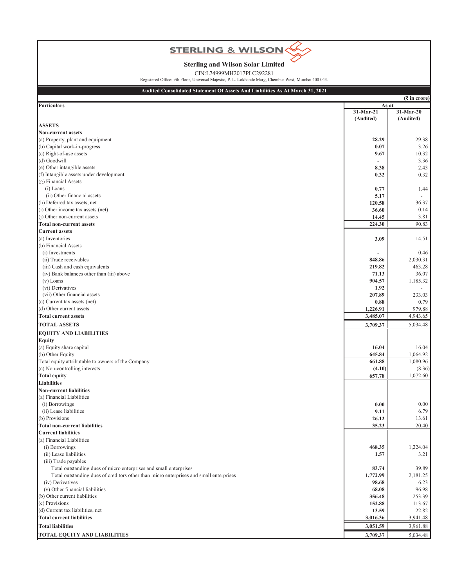

CIN:L74999MH2017PLC292281 Registered Office: 9th Floor, Universal Majestic, P. L. Lokhande Marg, Chembur West, Mumbai 400 043.

### **Audited Consolidated Statement Of Assets And Liabilities As At March 31, 2021**

|                                                                                        |                   | $(3 \infty)$ in crore) |
|----------------------------------------------------------------------------------------|-------------------|------------------------|
| <b>Particulars</b>                                                                     | As at             |                        |
|                                                                                        | 31-Mar-21         | $31-Mar-20$            |
|                                                                                        | (Audited)         | (Audited)              |
| <b>ASSETS</b>                                                                          |                   |                        |
| Non-current assets                                                                     |                   |                        |
| (a) Property, plant and equipment                                                      | 28.29             | 29.38                  |
| (b) Capital work-in-progress                                                           | 0.07              | 3.26                   |
| (c) Right-of-use assets                                                                | 9.67              | 10.32                  |
| (d) Goodwill                                                                           | $\blacksquare$    | 3.36                   |
| (e) Other intangible assets                                                            | 8.38              | 2.43                   |
| (f) Intangible assets under development                                                | 0.32              | 0.32                   |
| (g) Financial Assets                                                                   |                   |                        |
| (i) Loans                                                                              | 0.77              | 1.44                   |
| (ii) Other financial assets                                                            | 5.17              |                        |
| (h) Deferred tax assets, net                                                           | 120.58            | 36.37                  |
| (i) Other income tax assets (net)                                                      | 36.60             | 0.14                   |
|                                                                                        |                   |                        |
| (j) Other non-current assets                                                           | 14.45             | 3.81                   |
| <b>Total non-current assets</b>                                                        | 224.30            | 90.83                  |
| <b>Current assets</b>                                                                  |                   |                        |
| (a) Inventories                                                                        | 3.09              | 14.51                  |
| (b) Financial Assets                                                                   |                   |                        |
| (i) Investments                                                                        |                   | 0.46                   |
| (ii) Trade receivables                                                                 | 848.86            | 2,030.31               |
| (iii) Cash and cash equivalents                                                        | 219.82            | 463.28                 |
| (iv) Bank balances other than (iii) above                                              | 71.13             | 36.07                  |
| $(v)$ Loans                                                                            | 904.57            | 1,185.32               |
| (vi) Derivatives                                                                       | 1.92              |                        |
| (vii) Other financial assets                                                           | 207.89            | 233.03                 |
| (c) Current tax assets (net)                                                           | 0.88              | 0.79                   |
| (d) Other current assets                                                               | 1,226.91          | 979.88                 |
| <b>Total current assets</b>                                                            | 3,485.07          | 4,943.65               |
| <b>TOTAL ASSETS</b>                                                                    | 3,709.37          | 5,034.48               |
|                                                                                        |                   |                        |
| <b>EQUITY AND LIABILITIES</b>                                                          |                   |                        |
| <b>Equity</b>                                                                          |                   |                        |
| (a) Equity share capital                                                               | 16.04             | 16.04                  |
| (b) Other Equity                                                                       | 645.84            | 1,064.92               |
| Total equity attributable to owners of the Company                                     | 661.88            | 1,080.96               |
| (c) Non-controlling interests                                                          | (4.10)            | (8.36)                 |
| <b>Total equity</b>                                                                    | 657.78            | 1,072.60               |
| <b>Liabilities</b>                                                                     |                   |                        |
| <b>Non-current liabilities</b>                                                         |                   |                        |
| (a) Financial Liabilities                                                              |                   |                        |
| (i) Borrowings                                                                         | 0.00              | 0.00                   |
| (ii) Lease liabilities                                                                 | 9.11              | 6.79                   |
| (b) Provisions                                                                         | 26.12             | 13.61                  |
| <b>Total non-current liabilities</b>                                                   | 35.23             | 20.40                  |
| <b>Current liabilities</b>                                                             |                   |                        |
| (a) Financial Liabilities                                                              |                   |                        |
| (i) Borrowings                                                                         | 468.35            | 1,224.04               |
| (ii) Lease liabilities                                                                 | 1.57              | 3.21                   |
| (iii) Trade payables                                                                   |                   |                        |
| Total outstanding dues of micro enterprises and small enterprises                      |                   | 39.89                  |
| Total outstanding dues of creditors other than micro enterprises and small enterprises | 83.74<br>1,772.99 | 2,181.25               |
|                                                                                        |                   |                        |
| (iv) Derivatives                                                                       | 98.68             | 6.23                   |
| (v) Other financial liabilities                                                        | 68.08             | 96.98                  |
| (b) Other current liabilities                                                          | 356.48            | 253.39                 |
| (c) Provisions                                                                         | 152.88            | 113.67                 |
| (d) Current tax liabilities, net                                                       | 13.59             | 22.82                  |
| <b>Total current liabilities</b>                                                       | 3,016.36          | 3,941.48               |
| <b>Total liabilities</b>                                                               | 3,051.59          | 3,961.88               |
| <b>TOTAL EQUITY AND LIABILITIES</b>                                                    | 3,709.37          | 5,034.48               |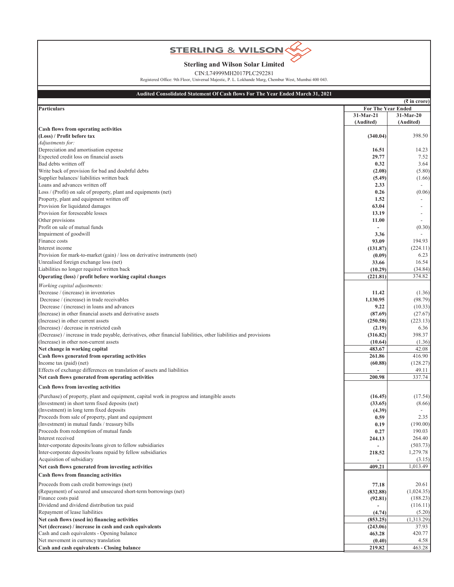

CIN:L74999MH2017PLC292281 Registered Office: 9th Floor, Universal Majestic, P. L. Lokhande Marg, Chembur West, Mumbai 400 043.

| <b>Audited Consolidated Statement Of Cash flows For The Year Ended March 31, 2021</b>                              |                           |                         |
|--------------------------------------------------------------------------------------------------------------------|---------------------------|-------------------------|
|                                                                                                                    |                           | $(\bar{\tau}$ in crore) |
| Particulars                                                                                                        | <b>For The Year Ended</b> |                         |
|                                                                                                                    | 31-Mar-21                 | $31-Mar-20$             |
|                                                                                                                    | (Audited)                 | (Audited)               |
| <b>Cash flows from operating activities</b>                                                                        |                           |                         |
| (Loss) / Profit before tax<br>Adjustments for:                                                                     | (340.04)                  | 398.50                  |
| Depreciation and amortisation expense                                                                              | 16.51                     | 14.23                   |
| Expected credit loss on financial assets                                                                           | 29.77                     | 7.52                    |
| Bad debts written off                                                                                              | 0.32                      | 3.64                    |
| Write back of provision for bad and doubtful debts                                                                 | (2.08)                    | (5.80)                  |
| Supplier balances/ liabilities written back                                                                        | (5.49)                    | (1.66)                  |
| Loans and advances written off                                                                                     | 2.33                      |                         |
| Loss / (Profit) on sale of property, plant and equipments (net)                                                    | 0.26                      | (0.06)                  |
| Property, plant and equipment written off                                                                          | 1.52                      |                         |
| Provision for liquidated damages                                                                                   | 63.04                     |                         |
| Provision for foreseeable losses                                                                                   | 13.19                     |                         |
| Other provisions                                                                                                   | 11.00                     |                         |
| Profit on sale of mutual funds<br>Impairment of goodwill                                                           |                           | (0.30)                  |
| Finance costs                                                                                                      | 3.36<br>93.09             | 194.93                  |
| Interest income                                                                                                    | (131.87)                  | (224.11)                |
| Provision for mark-to-market (gain) / loss on derivative instruments (net)                                         | (0.09)                    | 6.23                    |
| Unrealised foreign exchange loss (net)                                                                             | 33.66                     | 16.54                   |
| Liabilities no longer required written back                                                                        | (10.29)                   | (34.84)                 |
| Operating (loss) / profit before working capital changes                                                           | (221.81)                  | 374.82                  |
| Working capital adjustments:                                                                                       |                           |                         |
| Decrease / (increase) in inventories                                                                               | 11.42                     | (1.36)                  |
| Decrease / (increase) in trade receivables                                                                         | 1,130.95                  | (98.79)                 |
| Decrease / (increase) in loans and advances                                                                        | 9.22                      | (10.33)                 |
| (Increase) in other financial assets and derivative assets                                                         | (87.69)                   | (27.67)                 |
| (Increase) in other current assets                                                                                 | (250.58)                  | (223.13)                |
| (Increase) / decrease in restricted cash                                                                           | (2.19)                    | 6.36                    |
| (Decrease) / increase in trade payable, derivatives, other financial liabilities, other liabilities and provisions | (316.82)                  | 398.37                  |
| (Increase) in other non-current assets                                                                             | (10.64)                   | (1.36)                  |
| Net change in working capital                                                                                      | 483.67                    | 42.08                   |
| Cash flows generated from operating activities                                                                     | 261.86                    | 416.90                  |
| Income tax (paid) (net)<br>Effects of exchange differences on translation of assets and liabilities                | (60.88)                   | (128.27)<br>49.11       |
| Net cash flows generated from operating activities                                                                 | 200.98                    | 337.74                  |
|                                                                                                                    |                           |                         |
| <b>Cash flows from investing activities</b>                                                                        |                           |                         |
| (Purchase) of property, plant and equipment, capital work in progress and intangible assets                        | (16.45)                   | (17.54)                 |
| (Investment) in short term fixed deposits (net)<br>(Investment) in long term fixed deposits                        | (33.65)<br>(4.39)         | (8.66)                  |
| Proceeds from sale of property, plant and equipment                                                                | 0.59                      | 2.35                    |
| (Investment) in mutual funds / treasury bills                                                                      | 0.19                      | (190.00)                |
| Proceeds from redemption of mutual funds                                                                           | 0.27                      | 190.03                  |
| Interest received                                                                                                  | 244.13                    | 264.40                  |
| Inter-corporate deposits/loans given to fellow subsidiaries                                                        |                           | (503.73)                |
| Inter-corporate deposits/loans repaid by fellow subsidiaries                                                       | 218.52                    | 1,279.78                |
| Acquisition of subsidiary                                                                                          |                           | (3.15)                  |
| Net cash flows generated from investing activities                                                                 | 409.21                    | 1,013.49                |
| <b>Cash flows from financing activities</b>                                                                        |                           |                         |
| Proceeds from cash credit borrowings (net)                                                                         | 77.18                     | 20.61                   |
| (Repayment) of secured and unsecured short-term borrowings (net)                                                   | (832.88)                  | (1,024.35)              |
| Finance costs paid                                                                                                 | (92.81)                   | (188.23)                |
| Dividend and dividend distribution tax paid                                                                        |                           | (116.11)                |
| Repayment of lease liabilities                                                                                     | (4.74)                    | (5.20)                  |
| Net cash flows (used in) financing activities<br>Net (decrease) / increase in cash and cash equivalents            | (853.25)<br>(243.06)      | (1,313.29)<br>37.93     |
| Cash and cash equivalents - Opening balance                                                                        | 463.28                    | 420.77                  |
| Net movement in currency translation                                                                               | (0.40)                    | 4.58                    |
| Cash and cash equivalents - Closing balance                                                                        | 219.82                    | 463.28                  |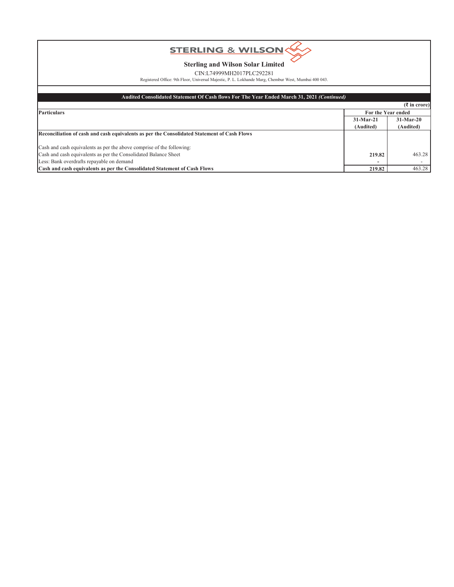

CIN:L74999MH2017PLC292281 Registered Office: 9th Floor, Universal Majestic, P. L. Lokhande Marg, Chembur West, Mumbai 400 043.

| Audited Consolidated Statement Of Cash flows For The Year Ended March 31, 2021 (Continued)  |             |                        |
|---------------------------------------------------------------------------------------------|-------------|------------------------|
|                                                                                             |             | $(3 \infty)$ in crore) |
| <b>Particulars</b>                                                                          |             | For the Year ended     |
|                                                                                             | $31-Mar-21$ | $31-Mar-20$            |
|                                                                                             | (Audited)   | (Audited)              |
| Reconciliation of cash and cash equivalents as per the Consolidated Statement of Cash Flows |             |                        |
|                                                                                             |             |                        |
| Cash and cash equivalents as per the above comprise of the following:                       |             |                        |
| Cash and cash equivalents as per the Consolidated Balance Sheet                             | 219.82      | 463.28                 |
| Less: Bank overdrafts repayable on demand                                                   |             |                        |
| Cash and cash equivalents as per the Consolidated Statement of Cash Flows                   | 219.82      | 463.28                 |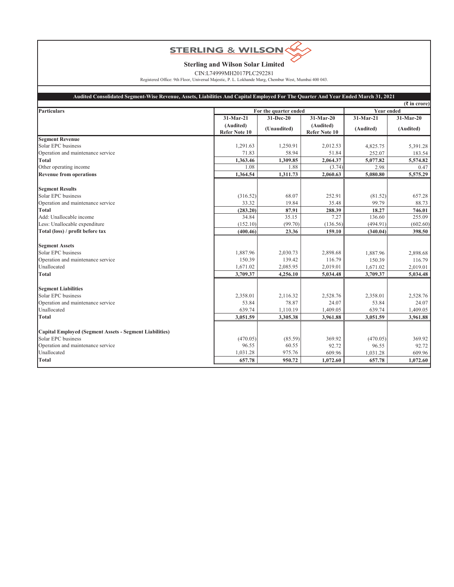

CIN:L74999MH2017PLC292281 Registered Office: 9th Floor, Universal Majestic, P. L. Lokhande Marg, Chembur West, Mumbai 400 043.

#### **Audited Consolidated Segment-Wise Revenue, Assets, Liabilities And Capital Employed For The Quarter And Year Ended March 31, 2021**

|                                                         |                                   |                       |                            |             | $(\bar{z}$ in crore) |
|---------------------------------------------------------|-----------------------------------|-----------------------|----------------------------|-------------|----------------------|
| <b>Particulars</b>                                      |                                   | For the quarter ended | <b>Year ended</b>          |             |                      |
|                                                         | 31-Mar-21                         | 31-Dec-20             | $31-Mar-20$                | $31-Mar-21$ | $31-Mar-20$          |
|                                                         | (Audited)<br><b>Refer Note 10</b> | (Unaudited)           | (Audited)<br>Refer Note 10 | (Audited)   | (Audited)            |
| <b>Segment Revenue</b>                                  |                                   |                       |                            |             |                      |
| Solar EPC business                                      | 1,291.63                          | 1,250.91              | 2,012.53                   | 4,825.75    | 5,391.28             |
| Operation and maintenance service                       | 71.83                             | 58.94                 | 51.84                      | 252.07      | 183.54               |
| Total                                                   | 1,363.46                          | 1,309.85              | 2,064.37                   | 5,077.82    | 5,574.82             |
| Other operating income                                  | 1.08                              | 1.88                  | (3.74)                     | 2.98        | 0.47                 |
| <b>Revenue from operations</b>                          | 1,364.54                          | 1,311.73              | 2,060.63                   | 5,080.80    | 5,575.29             |
| <b>Segment Results</b>                                  |                                   |                       |                            |             |                      |
| Solar EPC business                                      | (316.52)                          | 68.07                 | 252.91                     | (81.52)     | 657.28               |
| Operation and maintenance service                       | 33.32                             | 19.84                 | 35.48                      | 99.79       | 88.73                |
| Total                                                   | (283.20)                          | 87.91                 | 288.39                     | 18.27       | 746.01               |
| Add: Unallocable income                                 | 34.84                             | 35.15                 | 7.27                       | 136.60      | 255.09               |
| Less: Unallocable expenditure                           | (152.10)                          | (99.70)               | (136.56)                   | (494.91)    | (602.60)             |
| Total (loss) / profit before tax                        | (400.46)                          | 23.36                 | 159.10                     | (340.04)    | 398.50               |
| <b>Segment Assets</b>                                   |                                   |                       |                            |             |                      |
| Solar EPC business                                      | 1,887.96                          | 2.030.73              | 2,898.68                   | 1,887.96    | 2,898.68             |
| Operation and maintenance service                       | 150.39                            | 139.42                | 116.79                     | 150.39      | 116.79               |
| Unallocated                                             | 1,671.02                          | 2,085.95              | 2,019.01                   | 1,671.02    | 2,019.01             |
| Total                                                   | 3,709.37                          | 4,256.10              | 5,034.48                   | 3,709.37    | 5,034.48             |
| <b>Segment Liabilities</b>                              |                                   |                       |                            |             |                      |
| Solar EPC business                                      | 2,358.01                          | 2,116.32              | 2,528.76                   | 2,358.01    | 2,528.76             |
| Operation and maintenance service                       | 53.84                             | 78.87                 | 24.07                      | 53.84       | 24.07                |
| Unallocated                                             | 639.74                            | 1,110.19              | 1,409.05                   | 639.74      | 1,409.05             |
| Total                                                   | 3,051.59                          | 3,305.38              | 3,961.88                   | 3,051.59    | 3,961.88             |
| Capital Employed (Segment Assets - Segment Liabilities) |                                   |                       |                            |             |                      |
| Solar EPC business                                      | (470.05)                          | (85.59)               | 369.92                     | (470.05)    | 369.92               |
| Operation and maintenance service                       | 96.55                             | 60.55                 | 92.72                      | 96.55       | 92.72                |
| Unallocated                                             | 1.031.28                          | 975.76                | 609.96                     | 1,031.28    | 609.96               |
| Total                                                   | 657.78                            | 950.72                | 1,072.60                   | 657.78      | 1,072.60             |
|                                                         |                                   |                       |                            |             |                      |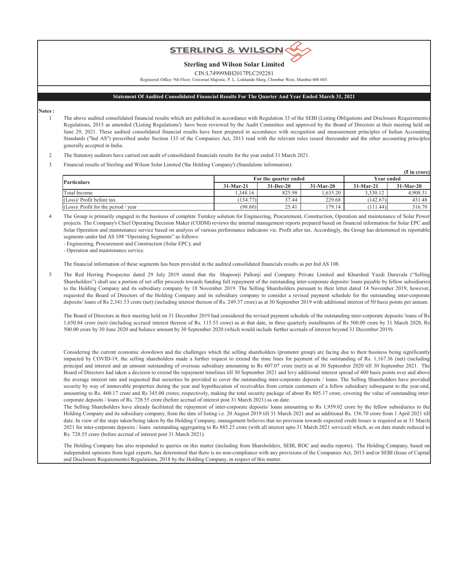

CIN:L74999MH2017PLC292281

Registered Office: 9th Floor, Universal Majestic, P. L. Lokhande Marg, Chembur West, Mumbai 400 043.

#### **Statement Of Audited Consolidated Financial Results For The Quarter And Year Ended March 31, 2021**

#### **Notes :**

- 1 The above audited consolidated financial results which are published in accordance with Regulation 33 of the SEBI (Listing Obligations and Disclosure Requirements) Regulations, 2015 as amended ('Listing Regulations') have been reviewed by the Audit Committee and approved by the Board of Directors at their meeting held on June 29, 2021. These audited consolidated financial results have been prepared in accordance with recognition and measurement principles of Indian Accounting Standards ("Ind AS") prescribed under Section 133 of the Companies Act, 2013 read with the relevant rules issued thereunder and the other accounting principles generally accepted in India.
- $\overline{2}$ The Statutory auditors have carried out audit of consolidated financials results for the year ended 31 March 2021.
- 3 Financial results of Sterling and Wilson Solar Limited ('the Holding Company') (Standalone information):

| , , , , , , , , , , , ,                 |                       |               |             |             |             |
|-----------------------------------------|-----------------------|---------------|-------------|-------------|-------------|
| <b>Particulars</b>                      | For the quarter ended |               |             | Year ended  |             |
|                                         | $31-Mar-21$           | $31 - Dec-20$ | $31-Mar-20$ | $31-Mar-21$ | $31-Mar-20$ |
| Total Income                            | .348.16               | 825.98        | 1,635.20    | 3.330.12    | 4.908.51    |
| (Loss)/ Profit before tax               | (134.77)              | 37.44         | 229.68      | (142.67)    | 431.48      |
| $(Loss)$ / Profit for the period / year | (98.60)               | 25.41         | 179.14      | (111.44)    | 316.70      |

**(ൟ in crore)**

4 The Group is primarily engaged in the business of complete Turnkey solution for Engineering, Procurement, Construction, Operation and maintenance of Solar Power projects. The Company's Chief Operating Decision Maker (CODM) reviews the internal management reports prepared based on financial information for Solar EPC and Solar Operation and maintenance service based on analysis of various performance indicators viz. Profit after tax. Accordingly, the Group has determined its reportable segments under Ind AS 108 "Operating Segments" as follows:

- Engineering, Procurement and Construction (Solar EPC); and

- Operation and maintenance service.

The financial information of these segments has been provided in the audited consolidated financials results as per Ind AS 108.

5 The Red Herring Prospectus dated 29 July 2019 stated that the Shapoorji Pallonji and Company Private Limited and Khurshed Yazdi Daruvala ("Selling Shareholders") shall use a portion of net offer proceeds towards funding full repayment of the outstanding inter-corporate deposits/ loans payable by fellow subsidiaries to the Holding Company and its subsidiary company by 18 November 2019. The Selling Shareholders pursuant to their letter dated 14 November 2019, however, requested the Board of Directors of the Holding Company and its subsidiary company to consider a revised payment schedule for the outstanding inter-corporate deposits/ loans of Rs 2,341.53 crore (net) (including interest thereon of Rs. 249.37 crore) as at 30 September 2019 with additional interest of 50 basis points per annum.

The Board of Directors in their meeting held on 31 December 2019 had considered the revised payment schedule of the outstanding inter-corporate deposits/ loans of Rs 1,650.84 crore (net) (including accrued interest thereon of Rs. 115.53 crore) as at that date, in three quarterly installments of Rs 500.00 crore by 31 March 2020, Rs 500.00 crore by 30 June 2020 and balance amount by 30 September 2020 (which would include further accruals of interest beyond 31 December 2019).

Considering the current economic slowdown and the challenges which the selling shareholders (promoter group) are facing due to their business being significantly impacted by COVID-19, the selling shareholders made a further request to extend the time lines for payment of the outstanding of Rs. 1,167.36 (net) (including principal and interest and an amount outstanding of overseas subsidiary amounting to Rs 607.07 crore (net)) as at 30 September 2020 till 30 September 2021. The Board of Directors had taken a decision to extend the repayment timelines till 30 September 2021 and levy additional interest spread of 400 basis points over and above the average interest rate and requested that securities be provided to cover the outstanding inter-corporate deposits / loans. The Selling Shareholders have provided security by way of immovable properties during the year and hypothecation of receivables from certain customers of a fellow subsidiary subsequent to the year-end, amounting to Rs. 460.17 crore and Rs 345.00 crores, respectively, making the total security package of about Rs 805.17 crore, covering the value of outstanding intercorporate deposits / loans of Rs. 728.55 crore (before accrual of interest post 31 March 2021) as on date.

The Selling Shareholders have already facilitated the repayment of inter-corporate deposits/ loans amounting to Rs 1,959.02 crore by the fellow subsidiaries to the Holding Company and its subsidiary company, from the date of listing i.e. 20 August 2019 till 31 March 2021 and an additional Rs. 156.70 crore from 1 April 2021 till date. In view of the steps taken/being taken by the Holding Company, management believes that no provision towards expected credit losses is required as at 31 March 2021 for inter-corporate deposits / loans outstanding aggregating to Rs 885.25 crore (with all interest upto 31 March 2021 serviced) which, as on date stands reduced to Rs. 728.55 crore (before accrual of interest post 31 March 2021).

The Holding Company has also responded to queries on this matter (including from Shareholders, SEBI, ROC and media reports). The Holding Company, based on independent opinions from legal experts, has determined that there is no non-compliance with any provisions of the Companies Act, 2013 and/or SEBI (Issue of Capital and Disclosure Requirements) Regulations, 2018 by the Holding Company, in respect of this matter.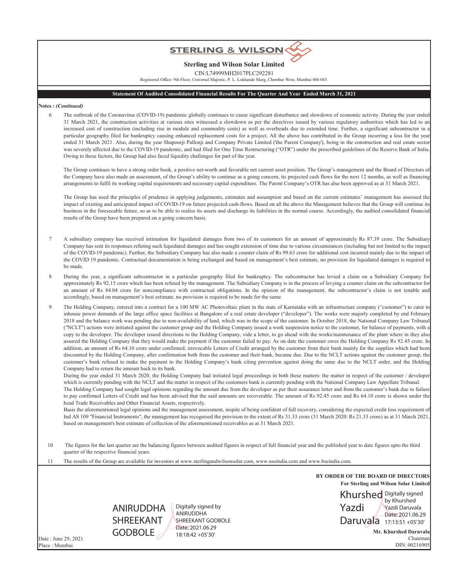

CIN:L74999MH2017PLC292281

Registered Office: 9th Floor, Universal Majestic, P. L. Lokhande Marg, Chembur West, Mumbai 400 043.

#### **Statement Of Audited Consolidated Financial Results For The Quarter And Year Ended March 31, 2021**

#### **Notes :** *(Continued)*

6 The outbreak of the Coronavirus (COVID-19) pandemic globally continues to cause significant disturbance and slowdown of economic activity. During the year ended 31 March 2021, the construction activities at various sites witnessed a slowdown as per the directives issued by various regulatory authorities which has led to an increased cost of construction (including rise in module and commodity costs) as well as overheads due to extended time. Further, a significant subcontractor in a particular geography filed for bankruptcy causing enhanced replacement costs for a project. All the above has contributed in the Group incurring a loss for the year ended 31 March 2021. Also, during the year Shapoorji Pallonji and Company Private Limited ('the Parent Company'), being in the construction and real estate sector was severely affected due to the COVID-19 pandemic, and had filed for One Time Restructuring ("OTR") under the prescribed guidelines of the Reserve Bank of India. Owing to these factors, the Group had also faced liquidity challenges for part of the year.

The Group continues to have a strong order book, a positive net-worth and favorable net current asset position. The Group's management and the Board of Directors of the Company have also made an assessment, of the Group's ability to continue as a going concern, its projected cash flows for the next 12 months, as well as financing arrangements to fulfil its working capital requirements and necessary capital expenditure. The Parent Company's OTR has also been approved as at 31 March 2021.

The Group has used the principles of prudence in applying judgements, estimates and assumption and based on the current estimates' management has assessed the impact of existing and anticipated impact of COVID-19 on future projected cash-flows. Based on all the above the Management believes that the Group will continue its business in the foreseeable future, so as to be able to realise its assets and discharge its liabilities in the normal course. Accordingly, the audited consolidated financial results of the Group have been prepared on a going concern basis.

- 7 A subsidiary company has received intimation for liquidated damages from two of its customers for an amount of approximately Rs 87.39 crore. The Subsidiary Company has sent its responses refuting such liquidated damages and has sought extension of time due to various circumstances (including but not limited to the impact of the COVID-19 pandemic). Further, the Subsidiary Company has also made a counter claim of Rs 99.63 crore for additional cost incurred mainly due to the impact of the COVID 19 pandemic. Contractual documentation is being exchanged and based on management's best estimate, no provision for liquidated damages is required to be made.
- 8 During the year, a significant subcontractor in a particular geography filed for bankruptcy. The subcontractor has levied a claim on a Subsidiary Company for approximately Rs 92.15 crore which has been refuted by the management. The Subsidiary Company is in the process of levying a counter claim on the subcontractor for an amount of Rs 84.04 crore for noncompliance with contractual obligations. In the opinion of the management, the subcontractor's claim is not tenable and accordingly, based on management's best estimate, no provision is required to be made for the same.
- 9 The Holding Company, entered into a contract for a 100 MW AC Photovoltaic plant in the state of Karnataka with an infrastructure company ("customer") to cater to inhouse power demands of the large office space facilities at Bangalore of a real estate developer ("developer"). The works were majorly completed by end February 2018 and the balance work was pending due to non-availability of land, which was in the scope of the customer. In October 2018, the National Company Law Tribunal ("NCLT") actions were initiated against the customer group and the Holding Company issued a work suspension notice to the customer, for balance of payments, with a copy to the developer. The developer issued directions to the Holding Company, vide a letter, to go ahead with the works/maintenance of the plant where in they also assured the Holding Company that they would make the payment if the customer failed to pay. As on date the customer owes the Holding Company Rs 92.45 crore. In addition, an amount of Rs 64.10 crore under confirmed, irrevocable Letters of Credit arranged by the customer from their bank mainly for the supplies which had been discounted by the Holding Company, after confirmation both from the customer and their bank, became due. Due to the NCLT actions against the customer group, the customer's bank refused to make the payment to the Holding Company's bank citing prevention against doing the same due to the NCLT order, and the Holding Company had to return the amount back to its bank.

During the year ended 31 March 2020, the Holding Company had initiated legal proceedings in both these matters: the matter in respect of the customer / developer which is currently pending with the NCLT and the matter in respect of the customers bank is currently pending with the National Company Law Appellate Tribunal. The Holding Company had sought legal opinions regarding the amount due from the developer as per their assurance letter and from the customer's bank due to failure to pay confirmed Letters of Credit and has been advised that the said amounts are recoverable. The amount of Rs 92.45 crore and Rs 64.10 crore is shown under the head Trade Receivables and Other Financial Assets, respectively.

Basis the aforementioned legal opinions and the management assessment, inspite of being confident of full recovery, considering the expected credit loss requirement of Ind AS 109 "Financial Instruments", the management has recognised the provision to the extent of Rs 31.33 crore (31 March 2020: Rs 21.33 crore) as at 31 March 2021, based on management's best estimate of collection of the aforementioned receivables as at 31 March 2021.

- 10 The figures for the last quarter are the balancing figures between audited figures in respect of full financial year and the published year to date figures upto the third quarter of the respective financial years.
- 11 The results of the Group are available for investors at www.sterlingandwilsonsolar.com, www.nseindia.com and www.bseindia.com.

**BY ORDER OF THE BOARD OF DIRECTORS For Sterling and Wilson Solar Limited**



Digitally signed by ANIRUDDHA SHREEKANT GODBOLE Date: 2021.06.29 18:18:42 +05'30'

**Mr. Khurshed Daruvala** Khurshed Digitally signed Yazdi Daruvala 17:13:51 +05'30' by Khurshed Yazdi Daruvala Date: 2021.06.29

> Chairman DIN: 00216905

Date : June 29, 2021 Place : Mumbai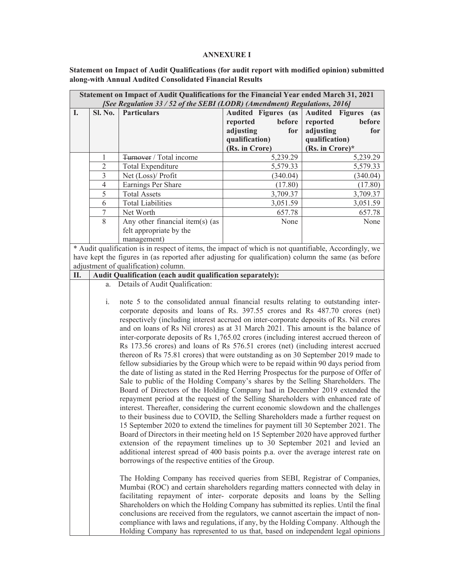### **ANNEXURE I**

**Statement on Impact of Audit Qualifications (for audit report with modified opinion) submitted along-with Annual Audited Consolidated Financial Results** 

| <b>Statement on Impact of Audit Qualifications for the Financial Year ended March 31, 2021</b><br>[See Regulation 33 / 52 of the SEBI (LODR) (Amendment) Regulations, 2016] |                |                                                                                                                                                                        |                            |                                         |  |  |
|-----------------------------------------------------------------------------------------------------------------------------------------------------------------------------|----------------|------------------------------------------------------------------------------------------------------------------------------------------------------------------------|----------------------------|-----------------------------------------|--|--|
| I.                                                                                                                                                                          | <b>Sl. No.</b> | <b>Particulars</b>                                                                                                                                                     | <b>Audited Figures (as</b> | <b>Audited</b><br><b>Figures</b><br>(as |  |  |
|                                                                                                                                                                             |                |                                                                                                                                                                        | reported<br>before         | before<br>reported                      |  |  |
|                                                                                                                                                                             |                |                                                                                                                                                                        | adjusting<br>for           | adjusting<br>for                        |  |  |
|                                                                                                                                                                             |                |                                                                                                                                                                        | qualification)             | qualification)                          |  |  |
|                                                                                                                                                                             |                |                                                                                                                                                                        | (Rs. in Crore)             | (Rs. in Crore)*                         |  |  |
|                                                                                                                                                                             | 1              | Turnover / Total income                                                                                                                                                | 5,239.29                   | 5,239.29                                |  |  |
|                                                                                                                                                                             | $\overline{2}$ | <b>Total Expenditure</b>                                                                                                                                               | 5,579.33                   | 5,579.33                                |  |  |
|                                                                                                                                                                             | $\mathfrak{Z}$ | Net (Loss)/ Profit                                                                                                                                                     | (340.04)                   | (340.04)                                |  |  |
|                                                                                                                                                                             | $\overline{4}$ | Earnings Per Share                                                                                                                                                     | (17.80)                    | (17.80)                                 |  |  |
|                                                                                                                                                                             | 5              | <b>Total Assets</b>                                                                                                                                                    | 3,709.37                   | 3,709.37                                |  |  |
|                                                                                                                                                                             | 6              | <b>Total Liabilities</b>                                                                                                                                               | 3,051.59                   | 3,051.59                                |  |  |
|                                                                                                                                                                             | $\overline{7}$ | Net Worth                                                                                                                                                              | 657.78                     | 657.78                                  |  |  |
|                                                                                                                                                                             | 8              | Any other financial item(s) (as                                                                                                                                        | None                       | None                                    |  |  |
|                                                                                                                                                                             |                | felt appropriate by the                                                                                                                                                |                            |                                         |  |  |
|                                                                                                                                                                             |                | management)                                                                                                                                                            |                            |                                         |  |  |
|                                                                                                                                                                             |                | * Audit qualification is in respect of items, the impact of which is not quantifiable, Accordingly, we                                                                 |                            |                                         |  |  |
|                                                                                                                                                                             |                | have kept the figures in (as reported after adjusting for qualification) column the same (as before                                                                    |                            |                                         |  |  |
|                                                                                                                                                                             |                | adjustment of qualification) column.                                                                                                                                   |                            |                                         |  |  |
| II.                                                                                                                                                                         |                | Audit Qualification (each audit qualification separately):                                                                                                             |                            |                                         |  |  |
|                                                                                                                                                                             | a.             | Details of Audit Qualification:                                                                                                                                        |                            |                                         |  |  |
|                                                                                                                                                                             |                |                                                                                                                                                                        |                            |                                         |  |  |
|                                                                                                                                                                             | i.             | note 5 to the consolidated annual financial results relating to outstanding inter-                                                                                     |                            |                                         |  |  |
|                                                                                                                                                                             |                | corporate deposits and loans of Rs. 397.55 crores and Rs 487.70 crores (net)<br>respectively (including interest accrued on inter-corporate deposits of Rs. Nil crores |                            |                                         |  |  |
|                                                                                                                                                                             |                | and on loans of Rs Nil crores) as at 31 March 2021. This amount is the balance of                                                                                      |                            |                                         |  |  |
|                                                                                                                                                                             |                | inter-corporate deposits of Rs 1,765.02 crores (including interest accrued thereon of                                                                                  |                            |                                         |  |  |
|                                                                                                                                                                             |                | Rs 173.56 crores) and loans of Rs 576.51 crores (net) (including interest accrued                                                                                      |                            |                                         |  |  |
|                                                                                                                                                                             |                | thereon of Rs 75.81 crores) that were outstanding as on 30 September 2019 made to                                                                                      |                            |                                         |  |  |
|                                                                                                                                                                             |                | fellow subsidiaries by the Group which were to be repaid within 90 days period from                                                                                    |                            |                                         |  |  |
|                                                                                                                                                                             |                | the date of listing as stated in the Red Herring Prospectus for the purpose of Offer of                                                                                |                            |                                         |  |  |
|                                                                                                                                                                             |                | Sale to public of the Holding Company's shares by the Selling Shareholders. The                                                                                        |                            |                                         |  |  |
|                                                                                                                                                                             |                | Board of Directors of the Holding Company had in December 2019 extended the                                                                                            |                            |                                         |  |  |
|                                                                                                                                                                             |                | repayment period at the request of the Selling Shareholders with enhanced rate of                                                                                      |                            |                                         |  |  |
|                                                                                                                                                                             |                | interest. Thereafter, considering the current economic slowdown and the challenges                                                                                     |                            |                                         |  |  |
|                                                                                                                                                                             |                | to their business due to COVID, the Selling Shareholders made a further request on                                                                                     |                            |                                         |  |  |
|                                                                                                                                                                             |                | 15 September 2020 to extend the timelines for payment till 30 September 2021. The                                                                                      |                            |                                         |  |  |
|                                                                                                                                                                             |                | Board of Directors in their meeting held on 15 September 2020 have approved further                                                                                    |                            |                                         |  |  |
|                                                                                                                                                                             |                | extension of the repayment timelines up to 30 September 2021 and levied an                                                                                             |                            |                                         |  |  |
|                                                                                                                                                                             |                | additional interest spread of 400 basis points p.a. over the average interest rate on                                                                                  |                            |                                         |  |  |
|                                                                                                                                                                             |                | borrowings of the respective entities of the Group.                                                                                                                    |                            |                                         |  |  |
|                                                                                                                                                                             |                |                                                                                                                                                                        |                            |                                         |  |  |
|                                                                                                                                                                             |                | The Holding Company has received queries from SEBI, Registrar of Companies,                                                                                            |                            |                                         |  |  |
|                                                                                                                                                                             |                | Mumbai (ROC) and certain shareholders regarding matters connected with delay in                                                                                        |                            |                                         |  |  |
|                                                                                                                                                                             |                | facilitating repayment of inter- corporate deposits and loans by the Selling                                                                                           |                            |                                         |  |  |
|                                                                                                                                                                             |                | Shareholders on which the Holding Company has submitted its replies. Until the final                                                                                   |                            |                                         |  |  |
|                                                                                                                                                                             |                | conclusions are received from the regulators, we cannot ascertain the impact of non-                                                                                   |                            |                                         |  |  |
|                                                                                                                                                                             |                | compliance with laws and regulations, if any, by the Holding Company. Although the                                                                                     |                            |                                         |  |  |
|                                                                                                                                                                             |                | Holding Company has represented to us that, based on independent legal opinions                                                                                        |                            |                                         |  |  |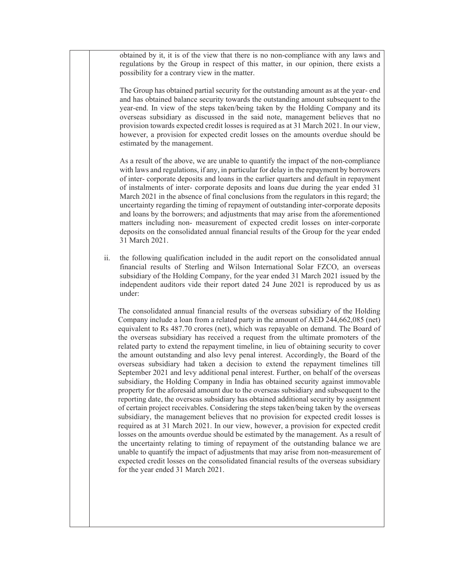obtained by it, it is of the view that there is no non-compliance with any laws and regulations by the Group in respect of this matter, in our opinion, there exists a possibility for a contrary view in the matter.

The Group has obtained partial security for the outstanding amount as at the year- end and has obtained balance security towards the outstanding amount subsequent to the year-end. In view of the steps taken/being taken by the Holding Company and its overseas subsidiary as discussed in the said note, management believes that no provision towards expected credit losses is required as at 31 March 2021. In our view, however, a provision for expected credit losses on the amounts overdue should be estimated by the management.

As a result of the above, we are unable to quantify the impact of the non-compliance with laws and regulations, if any, in particular for delay in the repayment by borrowers of inter- corporate deposits and loans in the earlier quarters and default in repayment of instalments of inter- corporate deposits and loans due during the year ended 31 March 2021 in the absence of final conclusions from the regulators in this regard; the uncertainty regarding the timing of repayment of outstanding inter-corporate deposits and loans by the borrowers; and adjustments that may arise from the aforementioned matters including non- measurement of expected credit losses on inter-corporate deposits on the consolidated annual financial results of the Group for the year ended 31 March 2021.

ii. the following qualification included in the audit report on the consolidated annual financial results of Sterling and Wilson International Solar FZCO, an overseas subsidiary of the Holding Company, for the year ended 31 March 2021 issued by the independent auditors vide their report dated 24 June 2021 is reproduced by us as under:

The consolidated annual financial results of the overseas subsidiary of the Holding Company include a loan from a related party in the amount of AED 244,662,085 (net) equivalent to Rs 487.70 crores (net), which was repayable on demand. The Board of the overseas subsidiary has received a request from the ultimate promoters of the related party to extend the repayment timeline, in lieu of obtaining security to cover the amount outstanding and also levy penal interest. Accordingly, the Board of the overseas subsidiary had taken a decision to extend the repayment timelines till September 2021 and levy additional penal interest. Further, on behalf of the overseas subsidiary, the Holding Company in India has obtained security against immovable property for the aforesaid amount due to the overseas subsidiary and subsequent to the reporting date, the overseas subsidiary has obtained additional security by assignment of certain project receivables. Considering the steps taken/being taken by the overseas subsidiary, the management believes that no provision for expected credit losses is required as at 31 March 2021. In our view, however, a provision for expected credit losses on the amounts overdue should be estimated by the management. As a result of the uncertainty relating to timing of repayment of the outstanding balance we are unable to quantify the impact of adjustments that may arise from non-measurement of expected credit losses on the consolidated financial results of the overseas subsidiary for the year ended 31 March 2021.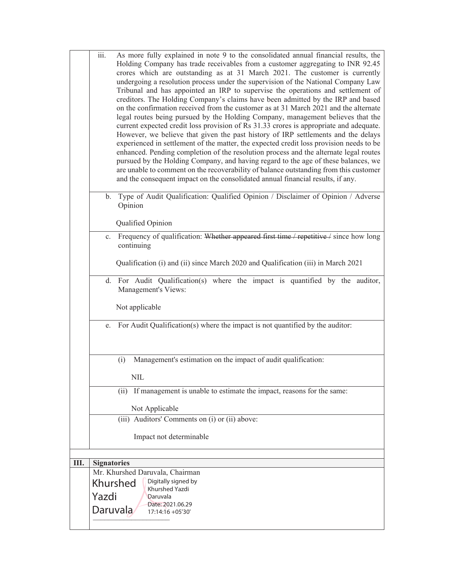|    | iii.               | As more fully explained in note 9 to the consolidated annual financial results, the                                                                                              |
|----|--------------------|----------------------------------------------------------------------------------------------------------------------------------------------------------------------------------|
|    |                    | Holding Company has trade receivables from a customer aggregating to INR 92.45<br>crores which are outstanding as at 31 March 2021. The customer is currently                    |
|    |                    | undergoing a resolution process under the supervision of the National Company Law<br>Tribunal and has appointed an IRP to supervise the operations and settlement of             |
|    |                    | creditors. The Holding Company's claims have been admitted by the IRP and based                                                                                                  |
|    |                    | on the confirmation received from the customer as at 31 March 2021 and the alternate                                                                                             |
|    |                    | legal routes being pursued by the Holding Company, management believes that the<br>current expected credit loss provision of Rs 31.33 crores is appropriate and adequate.        |
|    |                    | However, we believe that given the past history of IRP settlements and the delays                                                                                                |
|    |                    | experienced in settlement of the matter, the expected credit loss provision needs to be<br>enhanced. Pending completion of the resolution process and the alternate legal routes |
|    |                    | pursued by the Holding Company, and having regard to the age of these balances, we                                                                                               |
|    |                    | are unable to comment on the recoverability of balance outstanding from this customer                                                                                            |
|    |                    | and the consequent impact on the consolidated annual financial results, if any.                                                                                                  |
|    | b.                 | Type of Audit Qualification: Qualified Opinion / Disclaimer of Opinion / Adverse                                                                                                 |
|    |                    | Opinion                                                                                                                                                                          |
|    |                    | Qualified Opinion                                                                                                                                                                |
|    |                    | c. Frequency of qualification: Whether appeared first time / repetitive / since how long<br>continuing                                                                           |
|    |                    |                                                                                                                                                                                  |
|    |                    | Qualification (i) and (ii) since March 2020 and Qualification (iii) in March 2021                                                                                                |
|    |                    | d. For Audit Qualification(s) where the impact is quantified by the auditor,                                                                                                     |
|    |                    | Management's Views:                                                                                                                                                              |
|    |                    | Not applicable                                                                                                                                                                   |
|    |                    | e. For Audit Qualification(s) where the impact is not quantified by the auditor:                                                                                                 |
|    |                    |                                                                                                                                                                                  |
|    |                    | Management's estimation on the impact of audit qualification:                                                                                                                    |
|    |                    | (i)                                                                                                                                                                              |
|    |                    | <b>NIL</b>                                                                                                                                                                       |
|    |                    | $(i)$ If management is unable to estimate the impact, reasons for the same:                                                                                                      |
|    |                    | Not Applicable                                                                                                                                                                   |
|    |                    | (iii) Auditors' Comments on (i) or (ii) above:                                                                                                                                   |
|    |                    | Impact not determinable                                                                                                                                                          |
|    |                    |                                                                                                                                                                                  |
| Ш. | <b>Signatories</b> | Mr. Khurshed Daruvala, Chairman                                                                                                                                                  |
|    |                    | Digitally signed by<br><b>Khurshed</b>                                                                                                                                           |
|    | Yazdi              | Khurshed Yazdi<br>Daruvala                                                                                                                                                       |
|    | Daruvala           | Date: 2021.06.29                                                                                                                                                                 |
|    |                    | 17:14:16 +05'30'                                                                                                                                                                 |
|    |                    |                                                                                                                                                                                  |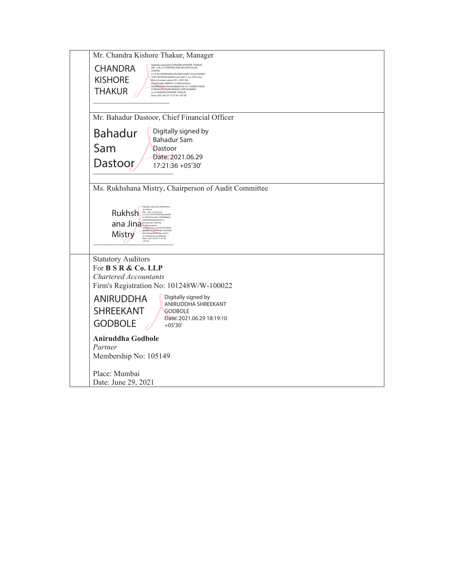| Mr. Chandra Kishore Thakur, Manager                                                                                                                                                    |
|----------------------------------------------------------------------------------------------------------------------------------------------------------------------------------------|
| Digitally signed by CHANDRA KISHORE THAKUR<br>DN: c=IN, o=STERLING AND WILSON SOLAR<br><b>CHANDRA</b><br>LIMITED.                                                                      |
| 2.5.4.20=f499039bfce7bc8b87c8af5135ae570d6b6<br>794773f55fe6fcf6ebb7ca8c72817.ou=CEO-Asia<br><b>KISHORE</b><br>Africa Eurupe Latam,CID - 6781744,<br>postalCode=400043, st=Maharashtra |
| serialNumber=b65d5d608524e1211c800b7f70ef8<br>57808a02f8cbb98eb8f6b81ebf01dc004b9,<br><b>THAKUR</b><br>cn=CHANDRA KISHORE THAKUR<br>Date: 2021.06.29 17:57:24 +05'30'                  |
|                                                                                                                                                                                        |
| Mr. Bahadur Dastoor, Chief Financial Officer                                                                                                                                           |
| Digitally signed by<br><b>Bahadur</b>                                                                                                                                                  |
| <b>Bahadur Sam</b><br>Sam<br>Dastoor                                                                                                                                                   |
| Date: 2021.06.29                                                                                                                                                                       |
| Dastoor<br>17:21:36 + 05'30'                                                                                                                                                           |
|                                                                                                                                                                                        |
| Ms. Rukhshana Mistry, Chairperson of Audit Committee                                                                                                                                   |
| Digitally signed by Rukhshana                                                                                                                                                          |
| Rukhsh 25.420-97497-66878ae3bd68                                                                                                                                                       |
| 5fd993864d896a95f321,<br>ana Jina at Maharashtra,<br>db9d2b121a05f91067c94934d9                                                                                                        |
| Mistry<br>9f6c39bbb4f90672bc10227c,<br>cn=Rukhshana Jina Mistry<br>Date: 2021.06.29 17:47:09<br>$+05'30'$                                                                              |
|                                                                                                                                                                                        |
| <b>Statutory Auditors</b>                                                                                                                                                              |
| For <b>B S R &amp; Co. LLP</b><br><b>Chartered Accountants</b>                                                                                                                         |
| Firm's Registration No: 101248W/W-100022                                                                                                                                               |
| Digitally signed by<br><b>ANIRUDDHA</b>                                                                                                                                                |
| ANIRUDDHA SHREEKANT<br><b>SHREEKANT</b><br><b>GODBOLE</b>                                                                                                                              |
| Date: 2021.06.29 18:19:10<br><b>GODBOLE</b><br>$+05'30'$                                                                                                                               |
| <b>Aniruddha Godbole</b>                                                                                                                                                               |
| Partner                                                                                                                                                                                |
| Membership No: 105149                                                                                                                                                                  |
| Place: Mumbai                                                                                                                                                                          |
| Date: June 29, 2021                                                                                                                                                                    |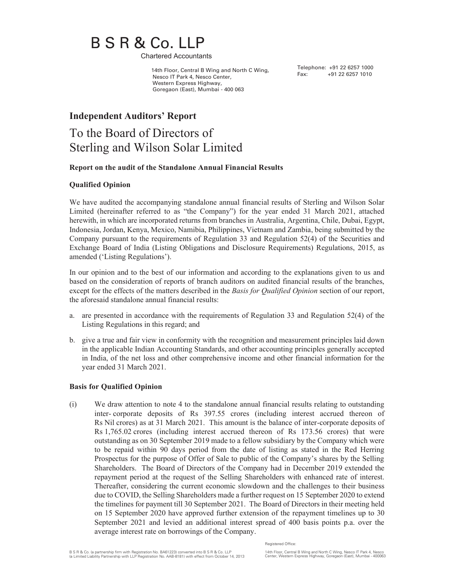# B S R & Co. LLP

Chartered Accountants

 14th Floor, Central B Wing and North C Wing, Nesco IT Park 4, Nesco Center, Western Express Highway, Goregaon (East), Mumbai - 400 063

Telephone: +91 22 6257 1000 Fax: +91 22 6257 1010

## **Independent Auditors' Report**

## To the Board of Directors of Sterling and Wilson Solar Limited

### **Report on the audit of the Standalone Annual Financial Results**

### **Qualified Opinion**

We have audited the accompanying standalone annual financial results of Sterling and Wilson Solar Limited (hereinafter referred to as "the Company") for the year ended 31 March 2021, attached herewith, in which are incorporated returns from branches in Australia, Argentina, Chile, Dubai, Egypt, Indonesia, Jordan, Kenya, Mexico, Namibia, Philippines, Vietnam and Zambia, being submitted by the Company pursuant to the requirements of Regulation 33 and Regulation 52(4) of the Securities and Exchange Board of India (Listing Obligations and Disclosure Requirements) Regulations, 2015, as amended ('Listing Regulations').

In our opinion and to the best of our information and according to the explanations given to us and based on the consideration of reports of branch auditors on audited financial results of the branches, except for the effects of the matters described in the *Basis for Qualified Opinion* section of our report, the aforesaid standalone annual financial results:

- a. are presented in accordance with the requirements of Regulation 33 and Regulation 52(4) of the Listing Regulations in this regard; and
- b. give a true and fair view in conformity with the recognition and measurement principles laid down in the applicable Indian Accounting Standards, and other accounting principles generally accepted in India, of the net loss and other comprehensive income and other financial information for the year ended 31 March 2021.

#### **Basis for Qualified Opinion**

(i) We draw attention to note 4 to the standalone annual financial results relating to outstanding inter- corporate deposits of Rs 397.55 crores (including interest accrued thereon of Rs Nil crores) as at 31 March 2021. This amount is the balance of inter-corporate deposits of Rs 1,765.02 crores (including interest accrued thereon of Rs 173.56 crores) that were outstanding as on 30 September 2019 made to a fellow subsidiary by the Company which were to be repaid within 90 days period from the date of listing as stated in the Red Herring Prospectus for the purpose of Offer of Sale to public of the Company's shares by the Selling Shareholders. The Board of Directors of the Company had in December 2019 extended the repayment period at the request of the Selling Shareholders with enhanced rate of interest. Thereafter, considering the current economic slowdown and the challenges to their business due to COVID, the Selling Shareholders made a further request on 15 September 2020 to extend the timelines for payment till 30 September 2021. The Board of Directors in their meeting held on 15 September 2020 have approved further extension of the repayment timelines up to 30 September 2021 and levied an additional interest spread of 400 basis points p.a. over the average interest rate on borrowings of the Company.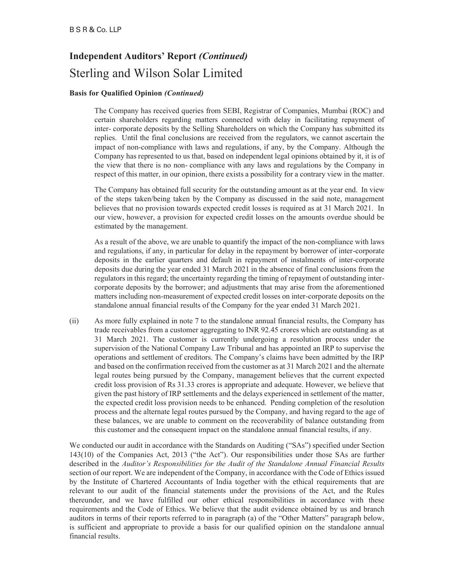#### **Basis for Qualified Opinion** *(Continued)*

The Company has received queries from SEBI, Registrar of Companies, Mumbai (ROC) and certain shareholders regarding matters connected with delay in facilitating repayment of inter- corporate deposits by the Selling Shareholders on which the Company has submitted its replies. Until the final conclusions are received from the regulators, we cannot ascertain the impact of non-compliance with laws and regulations, if any, by the Company. Although the Company has represented to us that, based on independent legal opinions obtained by it, it is of the view that there is no non- compliance with any laws and regulations by the Company in respect of this matter, in our opinion, there exists a possibility for a contrary view in the matter.

The Company has obtained full security for the outstanding amount as at the year end. In view of the steps taken/being taken by the Company as discussed in the said note, management believes that no provision towards expected credit losses is required as at 31 March 2021. In our view, however, a provision for expected credit losses on the amounts overdue should be estimated by the management.

As a result of the above, we are unable to quantify the impact of the non-compliance with laws and regulations, if any, in particular for delay in the repayment by borrower of inter-corporate deposits in the earlier quarters and default in repayment of instalments of inter-corporate deposits due during the year ended 31 March 2021 in the absence of final conclusions from the regulators in this regard; the uncertainty regarding the timing of repayment of outstanding intercorporate deposits by the borrower; and adjustments that may arise from the aforementioned matters including non-measurement of expected credit losses on inter-corporate deposits on the standalone annual financial results of the Company for the year ended 31 March 2021.

(ii) As more fully explained in note 7 to the standalone annual financial results, the Company has trade receivables from a customer aggregating to INR 92.45 crores which are outstanding as at 31 March 2021. The customer is currently undergoing a resolution process under the supervision of the National Company Law Tribunal and has appointed an IRP to supervise the operations and settlement of creditors. The Company's claims have been admitted by the IRP and based on the confirmation received from the customer as at 31 March 2021 and the alternate legal routes being pursued by the Company, management believes that the current expected credit loss provision of Rs 31.33 crores is appropriate and adequate. However, we believe that given the past history of IRP settlements and the delays experienced in settlement of the matter, the expected credit loss provision needs to be enhanced. Pending completion of the resolution process and the alternate legal routes pursued by the Company, and having regard to the age of these balances, we are unable to comment on the recoverability of balance outstanding from this customer and the consequent impact on the standalone annual financial results, if any.

We conducted our audit in accordance with the Standards on Auditing ("SAs") specified under Section 143(10) of the Companies Act, 2013 ("the Act"). Our responsibilities under those SAs are further described in the *Auditor's Responsibilities for the Audit of the Standalone Annual Financial Results*  section of our report. We are independent of the Company, in accordance with the Code of Ethics issued by the Institute of Chartered Accountants of India together with the ethical requirements that are relevant to our audit of the financial statements under the provisions of the Act, and the Rules thereunder, and we have fulfilled our other ethical responsibilities in accordance with these requirements and the Code of Ethics. We believe that the audit evidence obtained by us and branch auditors in terms of their reports referred to in paragraph (a) of the "Other Matters" paragraph below, is sufficient and appropriate to provide a basis for our qualified opinion on the standalone annual financial results.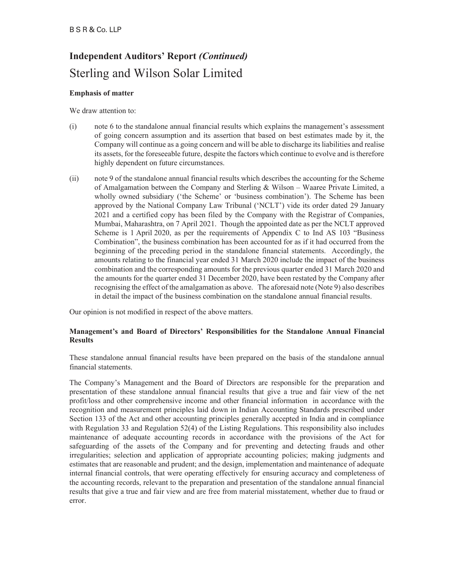#### **Emphasis of matter**

We draw attention to:

- (i) note 6 to the standalone annual financial results which explains the management's assessment of going concern assumption and its assertion that based on best estimates made by it, the Company will continue as a going concern and will be able to discharge its liabilities and realise its assets, for the foreseeable future, despite the factors which continue to evolve and is therefore highly dependent on future circumstances.
- (ii) note 9 of the standalone annual financial results which describes the accounting for the Scheme of Amalgamation between the Company and Sterling & Wilson – Waaree Private Limited, a wholly owned subsidiary ('the Scheme' or 'business combination'). The Scheme has been approved by the National Company Law Tribunal ('NCLT') vide its order dated 29 January 2021 and a certified copy has been filed by the Company with the Registrar of Companies, Mumbai, Maharashtra, on 7 April 2021. Though the appointed date as per the NCLT approved Scheme is 1 April 2020, as per the requirements of Appendix C to Ind AS 103 "Business Combination", the business combination has been accounted for as if it had occurred from the beginning of the preceding period in the standalone financial statements. Accordingly, the amounts relating to the financial year ended 31 March 2020 include the impact of the business combination and the corresponding amounts for the previous quarter ended 31 March 2020 and the amounts for the quarter ended 31 December 2020, have been restated by the Company after recognising the effect of the amalgamation as above. The aforesaid note (Note 9) also describes in detail the impact of the business combination on the standalone annual financial results.

Our opinion is not modified in respect of the above matters.

### **Management's and Board of Directors' Responsibilities for the Standalone Annual Financial Results**

These standalone annual financial results have been prepared on the basis of the standalone annual financial statements.

The Company's Management and the Board of Directors are responsible for the preparation and presentation of these standalone annual financial results that give a true and fair view of the net profit/loss and other comprehensive income and other financial information in accordance with the recognition and measurement principles laid down in Indian Accounting Standards prescribed under Section 133 of the Act and other accounting principles generally accepted in India and in compliance with Regulation 33 and Regulation 52(4) of the Listing Regulations. This responsibility also includes maintenance of adequate accounting records in accordance with the provisions of the Act for safeguarding of the assets of the Company and for preventing and detecting frauds and other irregularities; selection and application of appropriate accounting policies; making judgments and estimates that are reasonable and prudent; and the design, implementation and maintenance of adequate internal financial controls, that were operating effectively for ensuring accuracy and completeness of the accounting records, relevant to the preparation and presentation of the standalone annual financial results that give a true and fair view and are free from material misstatement, whether due to fraud or error.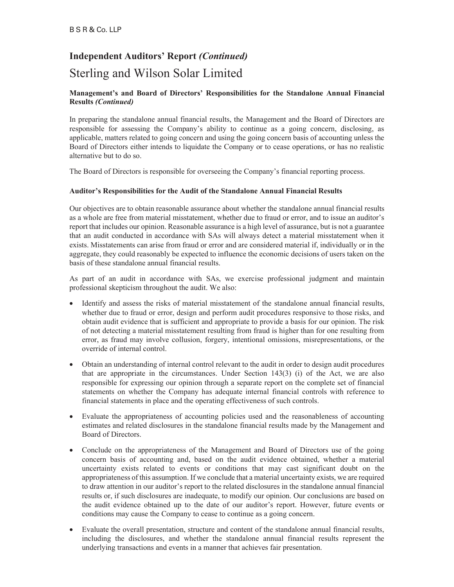### **Management's and Board of Directors' Responsibilities for the Standalone Annual Financial Results** *(Continued)*

In preparing the standalone annual financial results, the Management and the Board of Directors are responsible for assessing the Company's ability to continue as a going concern, disclosing, as applicable, matters related to going concern and using the going concern basis of accounting unless the Board of Directors either intends to liquidate the Company or to cease operations, or has no realistic alternative but to do so.

The Board of Directors is responsible for overseeing the Company's financial reporting process.

#### **Auditor's Responsibilities for the Audit of the Standalone Annual Financial Results**

Our objectives are to obtain reasonable assurance about whether the standalone annual financial results as a whole are free from material misstatement, whether due to fraud or error, and to issue an auditor's report that includes our opinion. Reasonable assurance is a high level of assurance, but is not a guarantee that an audit conducted in accordance with SAs will always detect a material misstatement when it exists. Misstatements can arise from fraud or error and are considered material if, individually or in the aggregate, they could reasonably be expected to influence the economic decisions of users taken on the basis of these standalone annual financial results.

As part of an audit in accordance with SAs, we exercise professional judgment and maintain professional skepticism throughout the audit. We also:

- Identify and assess the risks of material misstatement of the standalone annual financial results, whether due to fraud or error, design and perform audit procedures responsive to those risks, and obtain audit evidence that is sufficient and appropriate to provide a basis for our opinion. The risk of not detecting a material misstatement resulting from fraud is higher than for one resulting from error, as fraud may involve collusion, forgery, intentional omissions, misrepresentations, or the override of internal control.
- Obtain an understanding of internal control relevant to the audit in order to design audit procedures that are appropriate in the circumstances. Under Section  $143(3)$  (i) of the Act, we are also responsible for expressing our opinion through a separate report on the complete set of financial statements on whether the Company has adequate internal financial controls with reference to financial statements in place and the operating effectiveness of such controls.
- Evaluate the appropriateness of accounting policies used and the reasonableness of accounting estimates and related disclosures in the standalone financial results made by the Management and Board of Directors.
- Conclude on the appropriateness of the Management and Board of Directors use of the going concern basis of accounting and, based on the audit evidence obtained, whether a material uncertainty exists related to events or conditions that may cast significant doubt on the appropriateness of this assumption. If we conclude that a material uncertainty exists, we are required to draw attention in our auditor's report to the related disclosures in the standalone annual financial results or, if such disclosures are inadequate, to modify our opinion. Our conclusions are based on the audit evidence obtained up to the date of our auditor's report. However, future events or conditions may cause the Company to cease to continue as a going concern.
- Evaluate the overall presentation, structure and content of the standalone annual financial results, including the disclosures, and whether the standalone annual financial results represent the underlying transactions and events in a manner that achieves fair presentation.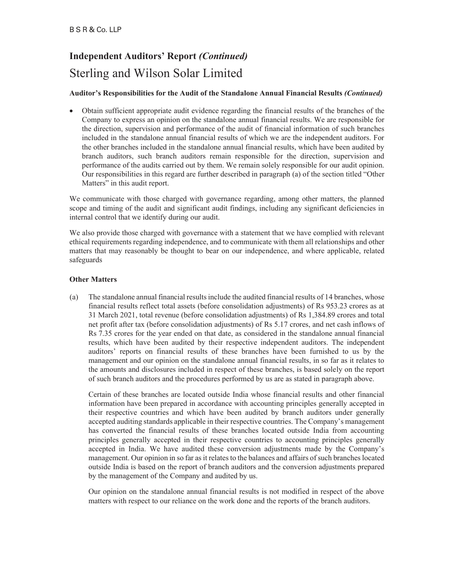#### **Auditor's Responsibilities for the Audit of the Standalone Annual Financial Results** *(Continued)*

• Obtain sufficient appropriate audit evidence regarding the financial results of the branches of the Company to express an opinion on the standalone annual financial results. We are responsible for the direction, supervision and performance of the audit of financial information of such branches included in the standalone annual financial results of which we are the independent auditors. For the other branches included in the standalone annual financial results, which have been audited by branch auditors, such branch auditors remain responsible for the direction, supervision and performance of the audits carried out by them. We remain solely responsible for our audit opinion. Our responsibilities in this regard are further described in paragraph (a) of the section titled "Other Matters" in this audit report.

We communicate with those charged with governance regarding, among other matters, the planned scope and timing of the audit and significant audit findings, including any significant deficiencies in internal control that we identify during our audit.

We also provide those charged with governance with a statement that we have complied with relevant ethical requirements regarding independence, and to communicate with them all relationships and other matters that may reasonably be thought to bear on our independence, and where applicable, related safeguards

### **Other Matters**

(a) The standalone annual financial results include the audited financial results of 14 branches, whose financial results reflect total assets (before consolidation adjustments) of Rs 953.23 crores as at 31 March 2021, total revenue (before consolidation adjustments) of Rs 1,384.89 crores and total net profit after tax (before consolidation adjustments) of Rs 5.17 crores, and net cash inflows of Rs 7.35 crores for the year ended on that date, as considered in the standalone annual financial results, which have been audited by their respective independent auditors. The independent auditors' reports on financial results of these branches have been furnished to us by the management and our opinion on the standalone annual financial results, in so far as it relates to the amounts and disclosures included in respect of these branches, is based solely on the report of such branch auditors and the procedures performed by us are as stated in paragraph above.

Certain of these branches are located outside India whose financial results and other financial information have been prepared in accordance with accounting principles generally accepted in their respective countries and which have been audited by branch auditors under generally accepted auditing standards applicable in their respective countries. The Company's management has converted the financial results of these branches located outside India from accounting principles generally accepted in their respective countries to accounting principles generally accepted in India. We have audited these conversion adjustments made by the Company's management. Our opinion in so far as it relates to the balances and affairs of such branches located outside India is based on the report of branch auditors and the conversion adjustments prepared by the management of the Company and audited by us.

Our opinion on the standalone annual financial results is not modified in respect of the above matters with respect to our reliance on the work done and the reports of the branch auditors.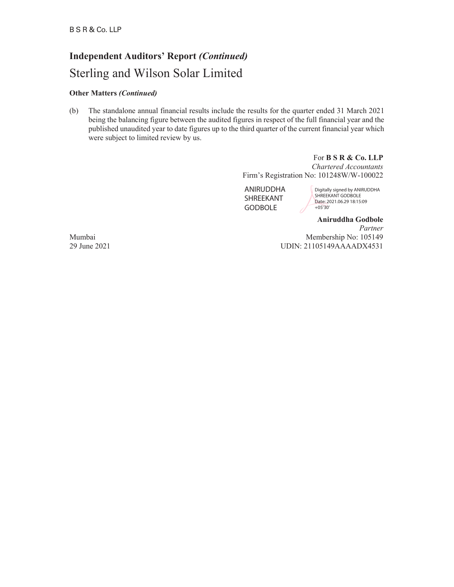### **Other Matters** *(Continued)*

(b) The standalone annual financial results include the results for the quarter ended 31 March 2021 being the balancing figure between the audited figures in respect of the full financial year and the published unaudited year to date figures up to the third quarter of the current financial year which were subject to limited review by us.

> For **B S R & Co. LLP** *Chartered Accountants* Firm's Registration No: 101248W/W-100022

ANIRUDDHA SHREEKANT GODBOLE

Digitally signed by ANIRUDDHA SHREEKANT GODBOLE Date: 2021.06.29 18:15:09 +05'30'

**Aniruddha Godbole** *Partner* Mumbai Membership No: 105149 29 June 2021 UDIN: 21105149AAAADX4531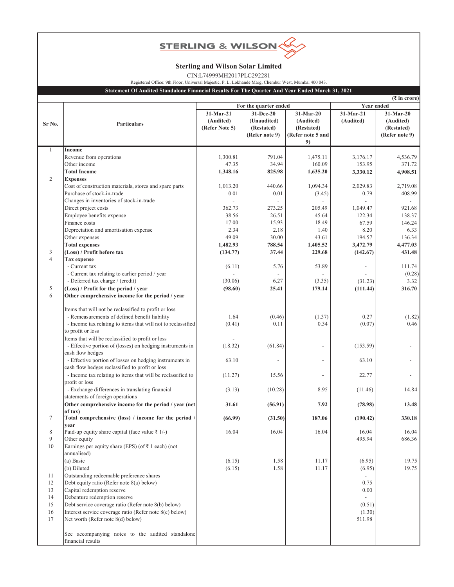

CIN:L74999MH2017PLC292281

Registered Office: 9th Floor, Universal Majestic, P. L. Lokhande Marg, Chembur West, Mumbai 400 043.

**Statement Of Audited Standalone Financial Results For The Quarter And Year Ended March 31, 2021**

|                |                                                               |                |                       |                          | $(3 \infty)$ in crore) |                |
|----------------|---------------------------------------------------------------|----------------|-----------------------|--------------------------|------------------------|----------------|
|                |                                                               |                | For the quarter ended |                          | <b>Year ended</b>      |                |
|                |                                                               | 31-Mar-21      | 31-Dec-20             | $31-Mar-20$              | 31-Mar-21              | $31-Mar-20$    |
|                |                                                               | (Audited)      | (Unaudited)           | (Audited)                | (Audited)              | (Audited)      |
| Sr No.         | Particulars                                                   | (Refer Note 5) | (Restated)            | (Restated)               |                        | (Restated)     |
|                |                                                               |                | (Refer note 9)        | (Refer note 5 and        |                        | (Refer note 9) |
|                |                                                               |                |                       | 9)                       |                        |                |
| $\mathbf{1}$   | Income                                                        |                |                       |                          |                        |                |
|                | Revenue from operations                                       | 1,300.81       | 791.04                | 1,475.11                 | 3,176.17               | 4,536.79       |
|                | Other income                                                  | 47.35          | 34.94                 | 160.09                   | 153.95                 | 371.72         |
|                | <b>Total Income</b>                                           | 1,348.16       | 825.98                | 1,635.20                 | 3,330.12               | 4,908.51       |
| $\overline{2}$ | <b>Expenses</b>                                               |                |                       |                          |                        |                |
|                | Cost of construction materials, stores and spare parts        |                | 440.66                |                          |                        |                |
|                |                                                               | 1,013.20       |                       | 1,094.34                 | 2,029.83               | 2,719.08       |
|                | Purchase of stock-in-trade                                    | 0.01           | 0.01                  | (3.45)                   | 0.79                   | 408.99         |
|                | Changes in inventories of stock-in-trade                      |                |                       |                          |                        |                |
|                | Direct project costs                                          | 362.73         | 273.25                | 205.49                   | 1,049.47               | 921.68         |
|                | Employee benefits expense                                     | 38.56          | 26.51                 | 45.64                    | 122.34                 | 138.37         |
|                | Finance costs                                                 | 17.00          | 15.93                 | 18.49                    | 67.59                  | 146.24         |
|                | Depreciation and amortisation expense                         | 2.34           | 2.18                  | 1.40                     | 8.20                   | 6.33           |
|                | Other expenses                                                | 49.09          | 30.00                 | 43.61                    | 194.57                 | 136.34         |
|                | <b>Total expenses</b>                                         | 1,482.93       | 788.54                | 1,405.52                 | 3,472.79               | 4,477.03       |
| 3              | (Loss) / Profit before tax                                    | (134.77)       | 37.44                 | 229.68                   | (142.67)               | 431.48         |
| $\overline{4}$ | Tax expense                                                   |                |                       |                          |                        |                |
|                | - Current tax                                                 | (6.11)         | 5.76                  | 53.89                    | ÷,                     | 111.74         |
|                | - Current tax relating to earlier period / year               |                |                       |                          |                        | (0.28)         |
|                | - Deferred tax charge / (credit)                              | (30.06)        | 6.27                  | (3.35)                   | (31.23)                | 3.32           |
| 5              | (Loss) / Profit for the period / year                         | (98.60)        | 25.41                 | 179.14                   | (111.44)               | 316.70         |
| 6              | Other comprehensive income for the period / year              |                |                       |                          |                        |                |
|                |                                                               |                |                       |                          |                        |                |
|                | Items that will not be reclassified to profit or loss         |                |                       |                          |                        |                |
|                | - Remeasurements of defined benefit liability                 | 1.64           | (0.46)                | (1.37)                   | 0.27                   | (1.82)         |
|                | - Income tax relating to items that will not to reclassified  | (0.41)         | 0.11                  | 0.34                     | (0.07)                 | 0.46           |
|                | to profit or loss                                             |                |                       |                          |                        |                |
|                | Items that will be reclassified to profit or loss             |                |                       |                          |                        |                |
|                | - Effective portion of (losses) on hedging instruments in     | (18.32)        | (61.84)               |                          | (153.59)               |                |
|                | cash flow hedges                                              |                |                       |                          |                        |                |
|                | - Effective portion of losses on hedging instruments in       | 63.10          |                       | $\overline{\phantom{a}}$ | 63.10                  |                |
|                | cash flow hedges reclassified to profit or loss               |                |                       |                          |                        |                |
|                | - Income tax relating to items that will be reclassified to   | (11.27)        | 15.56                 | $\overline{\phantom{0}}$ | 22.77                  |                |
|                | profit or loss                                                |                |                       |                          |                        |                |
|                | - Exchange differences in translating financial               | (3.13)         | (10.28)               | 8.95                     | (11.46)                | 14.84          |
|                | statements of foreign operations                              |                |                       |                          |                        |                |
|                | Other comprehensive income for the period / year (net         | 31.61          | (56.91)               | 7.92                     | (78.98)                | 13.48          |
|                | of tax)                                                       |                |                       |                          |                        |                |
| $\tau$         | Total comprehensive (loss) / income for the period /          | (66.99)        | (31.50)               | 187.06                   | (190.42)               | 330.18         |
|                | year                                                          |                |                       |                          |                        |                |
| 8              | Paid-up equity share capital (face value ₹ 1/-)               | 16.04          | 16.04                 | 16.04                    | 16.04                  | 16.04          |
| 9              | Other equity                                                  |                |                       |                          | 495.94                 | 686.36         |
| 10             | Earnings per equity share (EPS) (of $\bar{\tau}$ 1 each) (not |                |                       |                          |                        |                |
|                | annualised)                                                   |                |                       |                          |                        |                |
|                | (a) Basic                                                     | (6.15)         | 1.58                  | 11.17                    | (6.95)                 | 19.75          |
|                | (b) Diluted                                                   | (6.15)         | 1.58                  | 11.17                    | (6.95)                 | 19.75          |
| 11             | Outstanding redeemable preference shares                      |                |                       |                          | $\frac{1}{2}$          |                |
| 12             | Debt equity ratio (Refer note 8(a) below)                     |                |                       |                          | 0.75                   |                |
| 13             | Capital redemption reserve                                    |                |                       |                          | 0.00                   |                |
| 14             | Debenture redemption reserve                                  |                |                       |                          |                        |                |
| 15             | Debt service coverage ratio (Refer note 8(b) below)           |                |                       |                          | (0.51)                 |                |
| 16             | Interest service coverage ratio (Refer note 8(c) below)       |                |                       |                          | (1.30)                 |                |
| 17             | Net worth (Refer note 8(d) below)                             |                |                       |                          | 511.98                 |                |
|                |                                                               |                |                       |                          |                        |                |
|                | See accompanying notes to the audited standalone              |                |                       |                          |                        |                |
|                | financial results                                             |                |                       |                          |                        |                |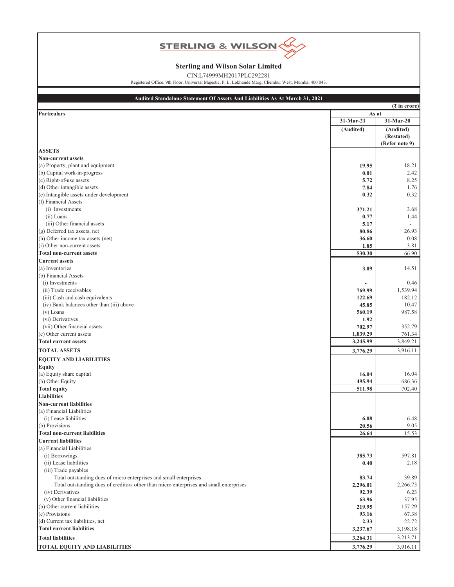

CIN:L74999MH2017PLC292281

Registered Office: 9th Floor, Universal Majestic, P. L. Lokhande Marg, Chembur West, Mumbai 400 043.

| Audited Standalone Statement Of Assets And Liabilities As At March 31, 2021            |                |                             |
|----------------------------------------------------------------------------------------|----------------|-----------------------------|
|                                                                                        |                | $(3\overline{5})$ in crore) |
| <b>Particulars</b>                                                                     | 31-Mar-21      | As at<br>$31-Mar-20$        |
|                                                                                        |                |                             |
|                                                                                        | (Audited)      | (Audited)<br>(Restated)     |
|                                                                                        |                | (Refer note 9)              |
| <b>ASSETS</b>                                                                          |                |                             |
| <b>Non-current assets</b>                                                              |                |                             |
| (a) Property, plant and equipment                                                      | 19.95          | 18.21                       |
| (b) Capital work-in-progress                                                           | 0.01           | 2.42                        |
| (c) Right-of-use assets                                                                | 5.72           | 8.25                        |
| (d) Other intangible assets                                                            | 7.84           | 1.76                        |
| (e) Intangible assets under development                                                | 0.32           | 0.32                        |
| (f) Financial Assets                                                                   |                |                             |
| (i) Investments                                                                        | 371.21         | 3.68                        |
| (ii) Loans                                                                             | 0.77           | 1.44                        |
| (iii) Other financial assets                                                           | 5.17           | $\overline{a}$              |
| (g) Deferred tax assets, net                                                           | 80.86          | 26.93                       |
| (h) Other income tax assets (net)                                                      | 36.60          | 0.08                        |
| (i) Other non-current assets                                                           | 1.85           | 3.81                        |
| <b>Total non-current assets</b><br><b>Current assets</b>                               | 530.30         | 66.90                       |
| (a) Inventories                                                                        |                | 14.51                       |
| (b) Financial Assets                                                                   | 3.09           |                             |
| (i) Investments                                                                        |                | 0.46                        |
| (ii) Trade receivables                                                                 | 769.99         | 1,539.94                    |
| (iii) Cash and cash equivalents                                                        | 122.69         | 182.12                      |
| (iv) Bank balances other than (iii) above                                              | 45.85          | 10.47                       |
| (v) Loans                                                                              | 560.19         | 987.58                      |
| (vi) Derivatives                                                                       | 1.92           |                             |
| (vii) Other financial assets                                                           | 702.97         | 352.79                      |
| (c) Other current assets                                                               | 1,039.29       | 761.34                      |
| <b>Total current assets</b>                                                            | 3,245.99       | 3,849.21                    |
| <b>TOTAL ASSETS</b>                                                                    | 3,776.29       | 3,916.11                    |
| <b>EQUITY AND LIABILITIES</b>                                                          |                |                             |
| <b>Equity</b>                                                                          |                |                             |
| (a) Equity share capital                                                               | 16.04          | 16.04                       |
| (b) Other Equity                                                                       | 495.94         | 686.36                      |
| <b>Total equity</b>                                                                    | 511.98         | 702.40                      |
| <b>Liabilities</b>                                                                     |                |                             |
| <b>Non-current liabilities</b>                                                         |                |                             |
| (a) Financial Liabilities                                                              |                |                             |
| (i) Lease liabilities                                                                  | 6.08           | 6.48                        |
| (b) Provisions                                                                         | 20.56          | 9.05                        |
| <b>Total non-current liabilities</b>                                                   | 26.64          | 15.53                       |
| <b>Current liabilities</b>                                                             |                |                             |
| (a) Financial Liabilities<br>(i) Borrowings                                            |                | 597.81                      |
| (ii) Lease liabilities                                                                 | 385.73<br>0.40 | 2.18                        |
| (iii) Trade payables                                                                   |                |                             |
| Total outstanding dues of micro enterprises and small enterprises                      | 83.74          | 39.89                       |
| Total outstanding dues of creditors other than micro enterprises and small enterprises | 2,296.01       | 2,266.73                    |
| (iv) Derivatives                                                                       | 92.39          | 6.23                        |
| (v) Other financial liabilities                                                        | 63.96          | 37.95                       |
| (b) Other current liabilities                                                          | 219.95         | 157.29                      |
| (c) Provisions                                                                         | 93.16          | 67.38                       |
| (d) Current tax liabilities, net                                                       | 2.33           | 22.72                       |
| <b>Total current liabilities</b>                                                       | 3,237.67       | 3,198.18                    |
| <b>Total liabilities</b>                                                               | 3,264.31       | 3,213.71                    |
| <b>TOTAL EQUITY AND LIABILITIES</b>                                                    | 3,776.29       | 3,916.11                    |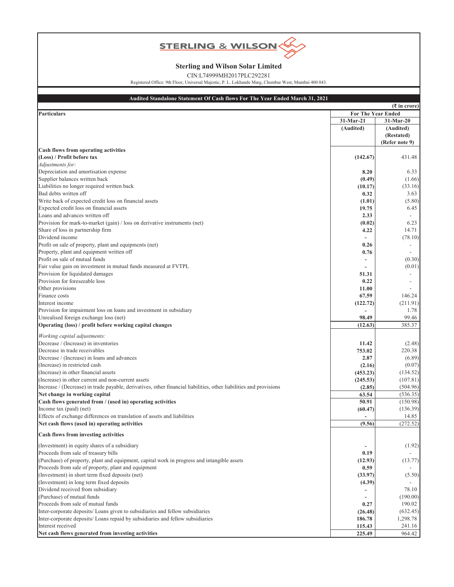

CIN:L74999MH2017PLC292281

Registered Office: 9th Floor, Universal Majestic, P. L. Lokhande Marg, Chembur West, Mumbai 400 043.

| Audited Standalone Statement Of Cash flows For The Year Ended March 31, 2021                                       |                           |                              |
|--------------------------------------------------------------------------------------------------------------------|---------------------------|------------------------------|
|                                                                                                                    |                           | $(3 \infty)$ in crore)       |
| Particulars                                                                                                        | <b>For The Year Ended</b> |                              |
|                                                                                                                    | 31-Mar-21                 | 31-Mar-20                    |
|                                                                                                                    | (Audited)                 | (Audited)                    |
|                                                                                                                    |                           | (Restated)<br>(Refer note 9) |
| Cash flows from operating activities                                                                               |                           |                              |
| (Loss) / Profit before tax                                                                                         | (142.67)                  | 431.48                       |
| Adjustments for:                                                                                                   |                           |                              |
| Depreciation and amortisation expense                                                                              | 8.20                      | 6.33                         |
| Supplier balances written back                                                                                     | (0.49)                    | (1.66)                       |
| Liabilities no longer required written back                                                                        | (10.17)                   | (33.16)                      |
| Bad debts written off                                                                                              | 0.32                      | 3.63                         |
| Write back of expected credit loss on financial assets                                                             | (1.01)                    | (5.80)                       |
| Expected credit loss on financial assets                                                                           | 19.75                     | 6.45                         |
| Loans and advances written off                                                                                     | 2.33                      |                              |
| Provision for mark-to-market (gain) / loss on derivative instruments (net)                                         | (0.02)                    | 6.23                         |
| Share of loss in partnership firm                                                                                  | 4.22                      | 14.71                        |
| Dividend income                                                                                                    |                           | (78.10)                      |
| Profit on sale of property, plant and equipments (net)                                                             | 0.26                      | $\overline{\phantom{a}}$     |
| Property, plant and equipment written off                                                                          | 0.76                      | $\overline{\phantom{a}}$     |
| Profit on sale of mutual funds                                                                                     |                           | (0.30)                       |
| Fair value gain on investment in mutual funds measured at FVTPL                                                    |                           | (0.01)                       |
| Provision for liquidated damages                                                                                   | 51.31                     |                              |
| Provision for foreseeable loss                                                                                     | 0.22                      | $\overline{\phantom{a}}$     |
| Other provisions                                                                                                   | 11.00                     |                              |
| Finance costs                                                                                                      | 67.59                     | 146.24                       |
| Interest income                                                                                                    | (122.72)                  | (211.91)                     |
| Provision for impairment loss on loans and investment in subsidiary                                                |                           | 1.78                         |
| Unrealised foreign exchange loss (net)                                                                             | 98.49                     | 99.46                        |
| Operating (loss) / profit before working capital changes                                                           | (12.63)                   | 385.37                       |
| Working capital adjustments:                                                                                       |                           |                              |
| Decrease / (Increase) in inventories                                                                               | 11.42                     | (2.48)                       |
| Decrease in trade receivables                                                                                      | 753.02                    | 220.38                       |
| Decrease / (Increase) in loans and advances                                                                        | 2.87                      | (6.89)                       |
| (Increase) in restricted cash                                                                                      | (2.16)                    | (0.07)                       |
| (Increase) in other financial assets                                                                               | (453.23)                  | (134.52)                     |
| (Increase) in other current and non-current assets                                                                 | (245.53)                  | (107.81)                     |
| Increase / (Decrease) in trade payable, derivatives, other financial liabilities, other liabilities and provisions | (2.85)                    | (504.96)                     |
| Net change in working capital                                                                                      | 63.54                     | (536.35)                     |
| Cash flows generated from / (used in) operating activities                                                         | 50.91                     | (150.98)                     |
| Income tax (paid) (net)                                                                                            | (60.47)                   | (136.39)                     |
| Effects of exchange differences on translation of assets and liabilities                                           |                           | 14.85                        |
| Net cash flows (used in) operating activities                                                                      | (9.56)                    | (272.52)                     |
| Cash flows from investing activities                                                                               |                           |                              |
| (Investment) in equity shares of a subsidiary                                                                      |                           | (1.92)                       |
| Proceeds from sale of treasury bills                                                                               | 0.19                      |                              |
| (Purchase) of property, plant and equipment, capital work in progress and intangible assets                        | (12.93)                   | (13.77)                      |
| Proceeds from sale of property, plant and equipment                                                                | 0.59                      |                              |
| (Investment) in short term fixed deposits (net)                                                                    | (33.97)                   | (5.50)                       |
| (Investment) in long term fixed deposits                                                                           | (4.39)                    |                              |
| Dividend received from subsidiary                                                                                  |                           | 78.10                        |
| (Purchase) of mutual funds                                                                                         |                           | (190.00)                     |
| Proceeds from sale of mutual funds                                                                                 | 0.27                      | 190.02                       |
| Inter-corporate deposits/ Loans given to subsidiaries and fellow subsidiaries                                      | (26.48)                   | (632.45)                     |
| Inter-corporate deposits/ Loans repaid by subsidiaries and fellow subsidiaries                                     | 186.78                    | 1,298.78                     |
| Interest received                                                                                                  | 115.43                    | 241.16                       |
| Net cash flows generated from investing activities                                                                 | 225.49                    | 964.42                       |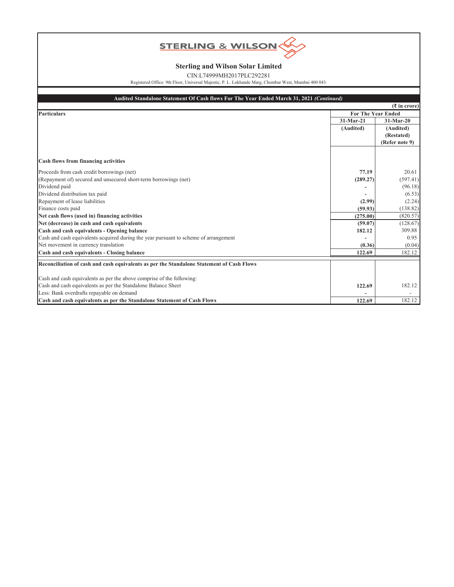

CIN:L74999MH2017PLC292281

Registered Office: 9th Floor, Universal Majestic, P. L. Lokhande Marg, Chembur West, Mumbai 400 043.

| Audited Standalone Statement Of Cash flows For The Year Ended March 31, 2021 (Continued) |  |  |
|------------------------------------------------------------------------------------------|--|--|
|------------------------------------------------------------------------------------------|--|--|

|                                                                                           |                           | $(3 \infty)$ in crore) |
|-------------------------------------------------------------------------------------------|---------------------------|------------------------|
| <b>Particulars</b>                                                                        | <b>For The Year Ended</b> |                        |
|                                                                                           | $31-Mar-21$               | $31-Mar-20$            |
|                                                                                           | (Audited)                 | (Audited)              |
|                                                                                           |                           | (Restated)             |
|                                                                                           |                           | (Refer note 9)         |
|                                                                                           |                           |                        |
| <b>Cash flows from financing activities</b>                                               |                           |                        |
| Proceeds from cash credit borrowings (net)                                                | 77.19                     | 20.61                  |
| (Repayment of) secured and unsecured short-term borrowings (net)                          | (289.27)                  | (597.41)               |
| Dividend paid                                                                             |                           | (96.18)                |
| Dividend distribution tax paid                                                            |                           | (6.53)                 |
| Repayment of lease liabilities                                                            | (2.99)                    | (2.24)                 |
| Finance costs paid                                                                        | (59.93)                   | (138.82)               |
| Net cash flows (used in) financing activities                                             | (275.00)                  | (820.57)               |
| Net (decrease) in cash and cash equivalents                                               | (59.07)                   | (128.67)               |
| Cash and cash equivalents - Opening balance                                               | 182.12                    | 309.88                 |
| Cash and cash equivalents acquired during the year pursuant to scheme of arrangement      |                           | 0.95                   |
| Net movement in currency translation                                                      | (0.36)                    | (0.04)                 |
| Cash and cash equivalents - Closing balance                                               | 122.69                    | 182.12                 |
| Reconciliation of cash and cash equivalents as per the Standalone Statement of Cash Flows |                           |                        |
|                                                                                           |                           |                        |
| Cash and cash equivalents as per the above comprise of the following:                     |                           |                        |
| Cash and cash equivalents as per the Standalone Balance Sheet                             | 122.69                    | 182.12                 |
| Less: Bank overdrafts repayable on demand                                                 |                           |                        |
| Cash and cash equivalents as per the Standalone Statement of Cash Flows                   | 122.69                    | 182.12                 |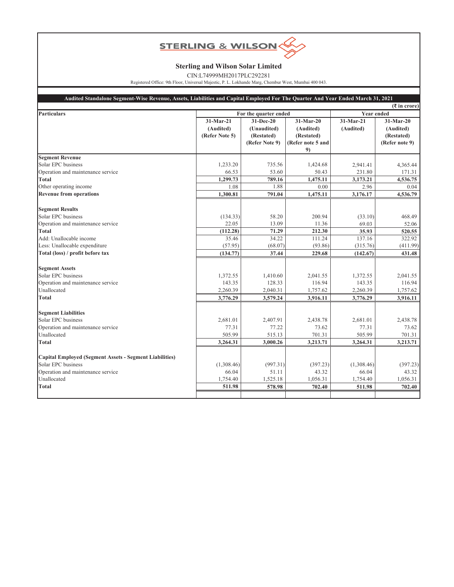

CIN:L74999MH2017PLC292281

Registered Office: 9th Floor, Universal Majestic, P. L. Lokhande Marg, Chembur West, Mumbai 400 043.

#### **Audited Standalone Segment-Wise Revenue, Assets, Liabilities and Capital Employed For The Quarter And Year Ended March 31, 2021**

| <b>Year ended</b><br>For the quarter ended<br>$31 - Dec-20$<br>31-Mar-21<br>$31-Mar-20$<br>31-Mar-21<br>$31-Mar-20$<br>(Unaudited)<br>(Audited)<br>(Audited)<br>(Audited)<br>(Audited)<br>(Refer Note 5)<br>(Restated)<br>(Restated)<br>(Restated)<br>(Refer Note 9)<br>(Refer note 5 and<br>(Refer note 9)<br>9)<br><b>Segment Revenue</b><br>Solar EPC business<br>1,233.20<br>735.56<br>1,424.68<br>2,941.41<br>4,365.44<br>Operation and maintenance service<br>66.53<br>53.60<br>50.43<br>231.80<br>171.31<br><b>Total</b><br>1,299.73<br>789.16<br>1,475.11<br>3,173.21<br>4,536.75<br>Other operating income<br>1.88<br>1.08<br>0.00<br>2.96<br>0.04<br><b>Revenue from operations</b><br>1,300.81<br>791.04<br>1,475.11<br>3,176.17<br>4,536.79<br><b>Segment Results</b><br>(134.33)<br>58.20<br>200.94<br>(33.10)<br>468.49<br>22.05<br>13.09<br>69.03<br>52.06<br>11.36<br>(112.28)<br>71.29<br>212.30<br>35.93<br>520.55<br>Add: Unallocable income<br>34.22<br>322.92<br>35.46<br>111.24<br>137.16<br>(57.95)<br>(93.86)<br>(315.76)<br>(68.07)<br>(411.99)<br>(142.67)<br>(134.77)<br>37.44<br>229.68<br>431.48<br><b>Segment Assets</b><br>Solar EPC business<br>1,372.55<br>1,410.60<br>2,041.55<br>1,372.55<br>2,041.55<br>Operation and maintenance service<br>143.35<br>128.33<br>116.94<br>116.94<br>143.35<br>Unallocated<br>2,260.39<br>2,040.31<br>1,757.62<br>2,260.39<br>1,757.62<br>3,579.24<br>3,776.29<br>3,776.29<br>3,916.11<br>3,916.11<br><b>Segment Liabilities</b><br>Solar EPC business<br>2,681.01<br>2,407.91<br>2,438.78<br>2,681.01<br>2,438.78<br>77.22<br>Operation and maintenance service<br>77.31<br>73.62<br>77.31<br>73.62<br>Unallocated<br>505.99<br>701.31<br>515.13<br>701.31<br>505.99<br><b>Total</b><br>3,264.31<br>3,000.26<br>3,213.71<br>3,264.31<br>3,213.71 | $(3 \infty)$ in crore)                                         |  |  |  |  |
|-----------------------------------------------------------------------------------------------------------------------------------------------------------------------------------------------------------------------------------------------------------------------------------------------------------------------------------------------------------------------------------------------------------------------------------------------------------------------------------------------------------------------------------------------------------------------------------------------------------------------------------------------------------------------------------------------------------------------------------------------------------------------------------------------------------------------------------------------------------------------------------------------------------------------------------------------------------------------------------------------------------------------------------------------------------------------------------------------------------------------------------------------------------------------------------------------------------------------------------------------------------------------------------------------------------------------------------------------------------------------------------------------------------------------------------------------------------------------------------------------------------------------------------------------------------------------------------------------------------------------------------------------------------------------------------------------------------------------------------------------------------------------------------------------------------------------|----------------------------------------------------------------|--|--|--|--|
|                                                                                                                                                                                                                                                                                                                                                                                                                                                                                                                                                                                                                                                                                                                                                                                                                                                                                                                                                                                                                                                                                                                                                                                                                                                                                                                                                                                                                                                                                                                                                                                                                                                                                                                                                                                                                       | <b>Particulars</b>                                             |  |  |  |  |
|                                                                                                                                                                                                                                                                                                                                                                                                                                                                                                                                                                                                                                                                                                                                                                                                                                                                                                                                                                                                                                                                                                                                                                                                                                                                                                                                                                                                                                                                                                                                                                                                                                                                                                                                                                                                                       |                                                                |  |  |  |  |
|                                                                                                                                                                                                                                                                                                                                                                                                                                                                                                                                                                                                                                                                                                                                                                                                                                                                                                                                                                                                                                                                                                                                                                                                                                                                                                                                                                                                                                                                                                                                                                                                                                                                                                                                                                                                                       |                                                                |  |  |  |  |
|                                                                                                                                                                                                                                                                                                                                                                                                                                                                                                                                                                                                                                                                                                                                                                                                                                                                                                                                                                                                                                                                                                                                                                                                                                                                                                                                                                                                                                                                                                                                                                                                                                                                                                                                                                                                                       |                                                                |  |  |  |  |
|                                                                                                                                                                                                                                                                                                                                                                                                                                                                                                                                                                                                                                                                                                                                                                                                                                                                                                                                                                                                                                                                                                                                                                                                                                                                                                                                                                                                                                                                                                                                                                                                                                                                                                                                                                                                                       |                                                                |  |  |  |  |
|                                                                                                                                                                                                                                                                                                                                                                                                                                                                                                                                                                                                                                                                                                                                                                                                                                                                                                                                                                                                                                                                                                                                                                                                                                                                                                                                                                                                                                                                                                                                                                                                                                                                                                                                                                                                                       |                                                                |  |  |  |  |
|                                                                                                                                                                                                                                                                                                                                                                                                                                                                                                                                                                                                                                                                                                                                                                                                                                                                                                                                                                                                                                                                                                                                                                                                                                                                                                                                                                                                                                                                                                                                                                                                                                                                                                                                                                                                                       |                                                                |  |  |  |  |
|                                                                                                                                                                                                                                                                                                                                                                                                                                                                                                                                                                                                                                                                                                                                                                                                                                                                                                                                                                                                                                                                                                                                                                                                                                                                                                                                                                                                                                                                                                                                                                                                                                                                                                                                                                                                                       |                                                                |  |  |  |  |
|                                                                                                                                                                                                                                                                                                                                                                                                                                                                                                                                                                                                                                                                                                                                                                                                                                                                                                                                                                                                                                                                                                                                                                                                                                                                                                                                                                                                                                                                                                                                                                                                                                                                                                                                                                                                                       |                                                                |  |  |  |  |
|                                                                                                                                                                                                                                                                                                                                                                                                                                                                                                                                                                                                                                                                                                                                                                                                                                                                                                                                                                                                                                                                                                                                                                                                                                                                                                                                                                                                                                                                                                                                                                                                                                                                                                                                                                                                                       |                                                                |  |  |  |  |
|                                                                                                                                                                                                                                                                                                                                                                                                                                                                                                                                                                                                                                                                                                                                                                                                                                                                                                                                                                                                                                                                                                                                                                                                                                                                                                                                                                                                                                                                                                                                                                                                                                                                                                                                                                                                                       |                                                                |  |  |  |  |
|                                                                                                                                                                                                                                                                                                                                                                                                                                                                                                                                                                                                                                                                                                                                                                                                                                                                                                                                                                                                                                                                                                                                                                                                                                                                                                                                                                                                                                                                                                                                                                                                                                                                                                                                                                                                                       |                                                                |  |  |  |  |
|                                                                                                                                                                                                                                                                                                                                                                                                                                                                                                                                                                                                                                                                                                                                                                                                                                                                                                                                                                                                                                                                                                                                                                                                                                                                                                                                                                                                                                                                                                                                                                                                                                                                                                                                                                                                                       |                                                                |  |  |  |  |
|                                                                                                                                                                                                                                                                                                                                                                                                                                                                                                                                                                                                                                                                                                                                                                                                                                                                                                                                                                                                                                                                                                                                                                                                                                                                                                                                                                                                                                                                                                                                                                                                                                                                                                                                                                                                                       | Solar EPC business                                             |  |  |  |  |
|                                                                                                                                                                                                                                                                                                                                                                                                                                                                                                                                                                                                                                                                                                                                                                                                                                                                                                                                                                                                                                                                                                                                                                                                                                                                                                                                                                                                                                                                                                                                                                                                                                                                                                                                                                                                                       | Operation and maintenance service                              |  |  |  |  |
|                                                                                                                                                                                                                                                                                                                                                                                                                                                                                                                                                                                                                                                                                                                                                                                                                                                                                                                                                                                                                                                                                                                                                                                                                                                                                                                                                                                                                                                                                                                                                                                                                                                                                                                                                                                                                       | <b>Total</b>                                                   |  |  |  |  |
|                                                                                                                                                                                                                                                                                                                                                                                                                                                                                                                                                                                                                                                                                                                                                                                                                                                                                                                                                                                                                                                                                                                                                                                                                                                                                                                                                                                                                                                                                                                                                                                                                                                                                                                                                                                                                       |                                                                |  |  |  |  |
|                                                                                                                                                                                                                                                                                                                                                                                                                                                                                                                                                                                                                                                                                                                                                                                                                                                                                                                                                                                                                                                                                                                                                                                                                                                                                                                                                                                                                                                                                                                                                                                                                                                                                                                                                                                                                       | Less: Unallocable expenditure                                  |  |  |  |  |
|                                                                                                                                                                                                                                                                                                                                                                                                                                                                                                                                                                                                                                                                                                                                                                                                                                                                                                                                                                                                                                                                                                                                                                                                                                                                                                                                                                                                                                                                                                                                                                                                                                                                                                                                                                                                                       | Total (loss) / profit before tax                               |  |  |  |  |
|                                                                                                                                                                                                                                                                                                                                                                                                                                                                                                                                                                                                                                                                                                                                                                                                                                                                                                                                                                                                                                                                                                                                                                                                                                                                                                                                                                                                                                                                                                                                                                                                                                                                                                                                                                                                                       |                                                                |  |  |  |  |
|                                                                                                                                                                                                                                                                                                                                                                                                                                                                                                                                                                                                                                                                                                                                                                                                                                                                                                                                                                                                                                                                                                                                                                                                                                                                                                                                                                                                                                                                                                                                                                                                                                                                                                                                                                                                                       |                                                                |  |  |  |  |
|                                                                                                                                                                                                                                                                                                                                                                                                                                                                                                                                                                                                                                                                                                                                                                                                                                                                                                                                                                                                                                                                                                                                                                                                                                                                                                                                                                                                                                                                                                                                                                                                                                                                                                                                                                                                                       |                                                                |  |  |  |  |
|                                                                                                                                                                                                                                                                                                                                                                                                                                                                                                                                                                                                                                                                                                                                                                                                                                                                                                                                                                                                                                                                                                                                                                                                                                                                                                                                                                                                                                                                                                                                                                                                                                                                                                                                                                                                                       |                                                                |  |  |  |  |
|                                                                                                                                                                                                                                                                                                                                                                                                                                                                                                                                                                                                                                                                                                                                                                                                                                                                                                                                                                                                                                                                                                                                                                                                                                                                                                                                                                                                                                                                                                                                                                                                                                                                                                                                                                                                                       | <b>Total</b>                                                   |  |  |  |  |
|                                                                                                                                                                                                                                                                                                                                                                                                                                                                                                                                                                                                                                                                                                                                                                                                                                                                                                                                                                                                                                                                                                                                                                                                                                                                                                                                                                                                                                                                                                                                                                                                                                                                                                                                                                                                                       |                                                                |  |  |  |  |
|                                                                                                                                                                                                                                                                                                                                                                                                                                                                                                                                                                                                                                                                                                                                                                                                                                                                                                                                                                                                                                                                                                                                                                                                                                                                                                                                                                                                                                                                                                                                                                                                                                                                                                                                                                                                                       |                                                                |  |  |  |  |
|                                                                                                                                                                                                                                                                                                                                                                                                                                                                                                                                                                                                                                                                                                                                                                                                                                                                                                                                                                                                                                                                                                                                                                                                                                                                                                                                                                                                                                                                                                                                                                                                                                                                                                                                                                                                                       |                                                                |  |  |  |  |
|                                                                                                                                                                                                                                                                                                                                                                                                                                                                                                                                                                                                                                                                                                                                                                                                                                                                                                                                                                                                                                                                                                                                                                                                                                                                                                                                                                                                                                                                                                                                                                                                                                                                                                                                                                                                                       |                                                                |  |  |  |  |
|                                                                                                                                                                                                                                                                                                                                                                                                                                                                                                                                                                                                                                                                                                                                                                                                                                                                                                                                                                                                                                                                                                                                                                                                                                                                                                                                                                                                                                                                                                                                                                                                                                                                                                                                                                                                                       |                                                                |  |  |  |  |
|                                                                                                                                                                                                                                                                                                                                                                                                                                                                                                                                                                                                                                                                                                                                                                                                                                                                                                                                                                                                                                                                                                                                                                                                                                                                                                                                                                                                                                                                                                                                                                                                                                                                                                                                                                                                                       |                                                                |  |  |  |  |
|                                                                                                                                                                                                                                                                                                                                                                                                                                                                                                                                                                                                                                                                                                                                                                                                                                                                                                                                                                                                                                                                                                                                                                                                                                                                                                                                                                                                                                                                                                                                                                                                                                                                                                                                                                                                                       | <b>Capital Employed (Segment Assets - Segment Liabilities)</b> |  |  |  |  |
| (1,308.46)<br>(997.31)<br>(397.23)<br>(1,308.46)<br>(397.23)                                                                                                                                                                                                                                                                                                                                                                                                                                                                                                                                                                                                                                                                                                                                                                                                                                                                                                                                                                                                                                                                                                                                                                                                                                                                                                                                                                                                                                                                                                                                                                                                                                                                                                                                                          | Solar EPC business                                             |  |  |  |  |
| 66.04<br>43.32<br>51.11<br>43.32<br>66.04                                                                                                                                                                                                                                                                                                                                                                                                                                                                                                                                                                                                                                                                                                                                                                                                                                                                                                                                                                                                                                                                                                                                                                                                                                                                                                                                                                                                                                                                                                                                                                                                                                                                                                                                                                             | Operation and maintenance service                              |  |  |  |  |
| 1,754.40<br>1,525.18<br>1,056.31<br>1,754.40<br>1,056.31                                                                                                                                                                                                                                                                                                                                                                                                                                                                                                                                                                                                                                                                                                                                                                                                                                                                                                                                                                                                                                                                                                                                                                                                                                                                                                                                                                                                                                                                                                                                                                                                                                                                                                                                                              | Unallocated                                                    |  |  |  |  |
| 511.98<br>578.98<br>702.40<br>702.40<br>511.98                                                                                                                                                                                                                                                                                                                                                                                                                                                                                                                                                                                                                                                                                                                                                                                                                                                                                                                                                                                                                                                                                                                                                                                                                                                                                                                                                                                                                                                                                                                                                                                                                                                                                                                                                                        | Total                                                          |  |  |  |  |
|                                                                                                                                                                                                                                                                                                                                                                                                                                                                                                                                                                                                                                                                                                                                                                                                                                                                                                                                                                                                                                                                                                                                                                                                                                                                                                                                                                                                                                                                                                                                                                                                                                                                                                                                                                                                                       |                                                                |  |  |  |  |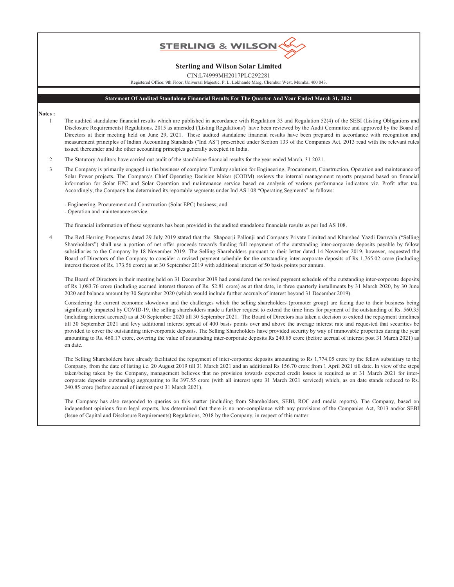

CIN:L74999MH2017PLC292281

Registered Office: 9th Floor, Universal Majestic, P. L. Lokhande Marg, Chembur West, Mumbai 400 043.

#### **Statement Of Audited Standalone Financial Results For The Quarter And Year Ended March 31, 2021**

#### **Notes :**

- 1 The audited standalone financial results which are published in accordance with Regulation 33 and Regulation 52(4) of the SEBI (Listing Obligations and Disclosure Requirements) Regulations, 2015 as amended ('Listing Regulations') have been reviewed by the Audit Committee and approved by the Board of Directors at their meeting held on June 29, 2021. These audited standalone financial results have been prepared in accordance with recognition and measurement principles of Indian Accounting Standards ("Ind AS") prescribed under Section 133 of the Companies Act, 2013 read with the relevant rules issued thereunder and the other accounting principles generally accepted in India.
- $\mathcal{L}$ The Statutory Auditors have carried out audit of the standalone financial results for the year ended March, 31 2021.
- 3 The Company is primarily engaged in the business of complete Turnkey solution for Engineering, Procurement, Construction, Operation and maintenance of Solar Power projects. The Company's Chief Operating Decision Maker (CODM) reviews the internal management reports prepared based on financial information for Solar EPC and Solar Operation and maintenance service based on analysis of various performance indicators viz. Profit after tax. Accordingly, the Company has determined its reportable segments under Ind AS 108 "Operating Segments" as follows:

- Engineering, Procurement and Construction (Solar EPC) business; and

- Operation and maintenance service.

The financial information of these segments has been provided in the audited standalone financials results as per Ind AS 108.

4 The Red Herring Prospectus dated 29 July 2019 stated that the Shapoorji Pallonji and Company Private Limited and Khurshed Yazdi Daruvala ("Selling Shareholders") shall use a portion of net offer proceeds towards funding full repayment of the outstanding inter-corporate deposits payable by fellow subsidiaries to the Company by 18 November 2019. The Selling Shareholders pursuant to their letter dated 14 November 2019, however, requested the Board of Directors of the Company to consider a revised payment schedule for the outstanding inter-corporate deposits of Rs 1,765.02 crore (including interest thereon of Rs. 173.56 crore) as at 30 September 2019 with additional interest of 50 basis points per annum.

The Board of Directors in their meeting held on 31 December 2019 had considered the revised payment schedule of the outstanding inter-corporate deposits of Rs 1,083.76 crore (including accrued interest thereon of Rs. 52.81 crore) as at that date, in three quarterly installments by 31 March 2020, by 30 June 2020 and balance amount by 30 September 2020 (which would include further accruals of interest beyond 31 December 2019).

Considering the current economic slowdown and the challenges which the selling shareholders (promoter group) are facing due to their business being significantly impacted by COVID-19, the selling shareholders made a further request to extend the time lines for payment of the outstanding of Rs. 560.35 (including interest accrued) as at 30 September 2020 till 30 September 2021. The Board of Directors has taken a decision to extend the repayment timelines till 30 September 2021 and levy additional interest spread of 400 basis points over and above the average interest rate and requested that securities be provided to cover the outstanding inter-corporate deposits. The Selling Shareholders have provided security by way of immovable properties during the year amounting to Rs. 460.17 crore, covering the value of outstanding inter-corporate deposits Rs 240.85 crore (before accrual of interest post 31 March 2021) as on date.

The Selling Shareholders have already facilitated the repayment of inter-corporate deposits amounting to Rs 1,774.05 crore by the fellow subsidiary to the Company, from the date of listing i.e. 20 August 2019 till 31 March 2021 and an additional Rs 156.70 crore from 1 April 2021 till date. In view of the steps taken/being taken by the Company, management believes that no provision towards expected credit losses is required as at 31 March 2021 for intercorporate deposits outstanding aggregating to Rs 397.55 crore (with all interest upto 31 March 2021 serviced) which, as on date stands reduced to Rs. 240.85 crore (before accrual of interest post 31 March 2021).

The Company has also responded to queries on this matter (including from Shareholders, SEBI, ROC and media reports). The Company, based on independent opinions from legal experts, has determined that there is no non-compliance with any provisions of the Companies Act, 2013 and/or SEBI (Issue of Capital and Disclosure Requirements) Regulations, 2018 by the Company, in respect of this matter.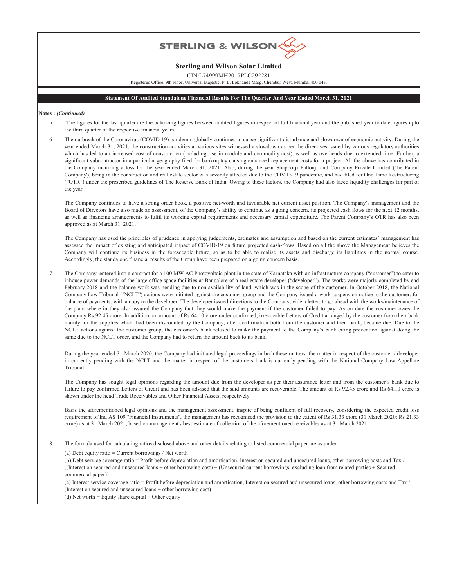

CIN:L74999MH2017PLC292281

Registered Office: 9th Floor, Universal Majestic, P. L. Lokhande Marg, Chembur West, Mumbai 400 043.

#### **Statement Of Audited Standalone Financial Results For The Quarter And Year Ended March 31, 2021**

#### **Notes :** *(Continued)*

- 5 The figures for the last quarter are the balancing figures between audited figures in respect of full financial year and the published year to date figures upto the third quarter of the respective financial years.
- 6 The outbreak of the Coronavirus (COVID-19) pandemic globally continues to cause significant disturbance and slowdown of economic activity. During the year ended March 31, 2021, the construction activities at various sites witnessed a slowdown as per the directives issued by various regulatory authorities which has led to an increased cost of construction (including rise in module and commodity cost) as well as overheads due to extended time. Further, a significant subcontractor in a particular geography filed for bankruptcy causing enhanced replacement costs for a project. All the above has contributed in the Company incurring a loss for the year ended March 31, 2021. Also, during the year Shapoorji Pallonji and Company Private Limited ('the Parent Company'), being in the construction and real estate sector was severely affected due to the COVID-19 pandemic, and had filed for One Time Restructuring ("OTR") under the prescribed guidelines of The Reserve Bank of India. Owing to these factors, the Company had also faced liquidity challenges for part of the year.

The Company continues to have a strong order book, a positive net-worth and favourable net current asset position. The Company's management and the Board of Directors have also made an assessment, of the Company's ability to continue as a going concern, its projected cash flows for the next 12 months, as well as financing arrangements to fulfil its working capital requirements and necessary capital expenditure. The Parent Company's OTR has also been approved as at March 31, 2021.

The Company has used the principles of prudence in applying judgements, estimates and assumption and based on the current estimates' management has assessed the impact of existing and anticipated impact of COVID-19 on future projected cash-flows. Based on all the above the Management believes the Company will continue its business in the foreseeable future, so as to be able to realise its assets and discharge its liabilities in the normal course. Accordingly, the standalone financial results of the Group have been prepared on a going concern basis.

7 The Company, entered into a contract for a 100 MW AC Photovoltaic plant in the state of Karnataka with an infrastructure company ("customer") to cater to inhouse power demands of the large office space facilities at Bangalore of a real estate developer ("developer"). The works were majorly completed by end February 2018 and the balance work was pending due to non-availability of land, which was in the scope of the customer. In October 2018, the National Company Law Tribunal ("NCLT") actions were initiated against the customer group and the Company issued a work suspension notice to the customer, for balance of payments, with a copy to the developer. The developer issued directions to the Company, vide a letter, to go ahead with the works/maintenance of the plant where in they also assured the Company that they would make the payment if the customer failed to pay. As on date the customer owes the Company Rs 92.45 crore. In addition, an amount of Rs 64.10 crore under confirmed, irrevocable Letters of Credit arranged by the customer from their bank mainly for the supplies which had been discounted by the Company, after confirmation both from the customer and their bank, became due. Due to the NCLT actions against the customer group, the customer's bank refused to make the payment to the Company's bank citing prevention against doing the same due to the NCLT order, and the Company had to return the amount back to its bank.

During the year ended 31 March 2020, the Company had initiated legal proceedings in both these matters: the matter in respect of the customer / developer in currently pending with the NCLT and the matter in respect of the customers bank is currently pending with the National Company Law Appellate Tribunal.

The Company has sought legal opinions regarding the amount due from the developer as per their assurance letter and from the customer's bank due to failure to pay confirmed Letters of Credit and has been advised that the said amounts are recoverable. The amount of Rs 92.45 crore and Rs 64.10 crore is shown under the head Trade Receivables and Other Financial Assets, respectively.

Basis the aforementioned legal opinions and the management assessment, inspite of being confident of full recovery, considering the expected credit loss requirement of Ind AS 109 "Financial Instruments", the management has recognised the provision to the extent of Rs 31.33 crore (31 March 2020: Rs 21.33 crore) as at 31 March 2021, based on management's best estimate of collection of the aforementioned receivables as at 31 March 2021.

8 The formula used for calculating ratios disclosed above and other details relating to listed commercial paper are as under:

(a) Debt equity ratio = Current borrowings / Net worth

(b) Debt service coverage ratio = Profit before depreciation and amortisation, Interest on secured and unsecured loans, other borrowing costs and Tax / ((Interest on secured and unsecured loans + other borrowing cost) + (Unsecured current borrowings, excluding loan from related parties + Secured commercial paper))

(d) Net worth  $=$  Equity share capital  $+$  Other equity (c) Interest service coverage ratio = Profit before depreciation and amortisation, Interest on secured and unsecured loans, other borrowing costs and Tax / (Interest on secured and unsecured loans + other borrowing cost)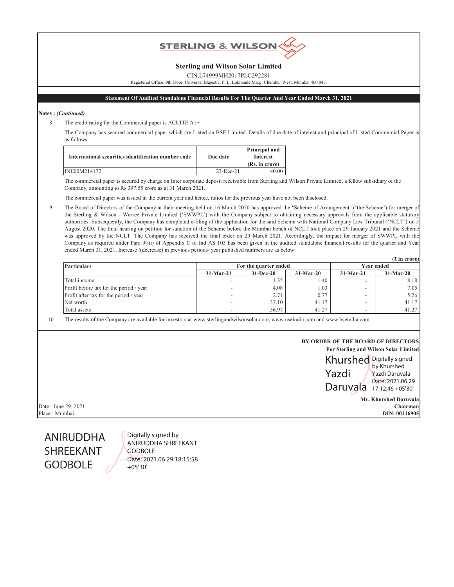

CIN:L74999MH2017PLC292281

Registered Office: 9th Floor, Universal Majestic, P. L. Lokhande Marg, Chembur West, Mumbai 400 043.

#### **Statement Of Audited Standalone Financial Results For The Quarter And Year Ended March 31, 2021**

#### **Notes :** *(Continued)*

8 The credit rating for the Commercial paper is ACUITE A1+

The Company has secured commercial paper which are Listed on BSE Limited. Details of due date of interest and principal of Listed Commercial Paper is as follows:

| International securities identification number code | Due date     | <b>Principal and</b><br><b>Interest</b><br>(Rs. in crore) |
|-----------------------------------------------------|--------------|-----------------------------------------------------------|
| INE00M214172                                        | $23$ -Dec-21 | 40.00                                                     |

The commercial paper is secured by charge on Inter corporate deposit receivable from Sterling and Wilson Private Limited, a fellow subsidiary of the Company, amounting to Rs 397.55 crore as at 31 March 2021.

The commercial paper was issued in the current year and hence, ratios for the previous year have not been disclosed.

9 The Board of Directors of the Company at their meeting held on 16 March 2020 has approved the "Scheme of Arrangement" ('the Scheme') for merger of the Sterling & Wilson - Warree Private Limited ('SWWPL') with the Company subject to obtaining necessary approvals from the applicable statutory authorities. Subsequently, the Company has completed e-filing of the application for the said Scheme with National Company Law Tribunal ('NCLT') on 5 August 2020. The final hearing on petition for sanction of the Scheme before the Mumbai bench of NCLT took place on 29 January 2021 and the Scheme was approved by the NCLT. The Company has received the final order on 29 March 2021. Accordingly, the impact for merger of SWWPL with the Company as required under Para 9(iii) of Appendix C of Ind AS 103 has been given in the audited standalone financial results for the quarter and Year ended March 31, 2021. Increase /(decrease) in previous periods/ year published numbers are as below:

|                                         |                                            |               |             |                          | $(\bar{\tau}$ in crore) |
|-----------------------------------------|--------------------------------------------|---------------|-------------|--------------------------|-------------------------|
| <b>Particulars</b>                      | For the quarter ended<br><b>Year ended</b> |               |             |                          |                         |
|                                         | $31-Mar-21$                                | $31 - Dec-20$ | $31-Mar-20$ | $31-Mar-21$              | $31-Mar-20$             |
| Total income                            |                                            | 1.35          | 1.40        | -                        | 8.18                    |
| Profit before tax for the period / year | $\overline{\phantom{0}}$                   | 4.08          | 1.03        | -                        | 7.05                    |
| Profit after tax for the period / year  | $\overline{\phantom{0}}$                   | 2.71          | 0.77        | -                        | 5.26                    |
| Net worth                               | $\overline{\phantom{0}}$                   | 37.10         | 41.17       | -                        | 41.17                   |
| Total assets                            | $\overline{\phantom{a}}$                   | 36.97         | 41.27       | $\overline{\phantom{0}}$ | 41.27                   |

10 The results of the Company are available for investors at www.sterlingandwilsonsolar.com, www.nseindia.com and www.bseindia.com.



## ANIRUDDHA SHREEKANT **GODBOLE**

Digitally signed by ANIRUDDHA SHREEKANT **GODBOLE** Date: 2021.06.29 18:15:58 +05'30'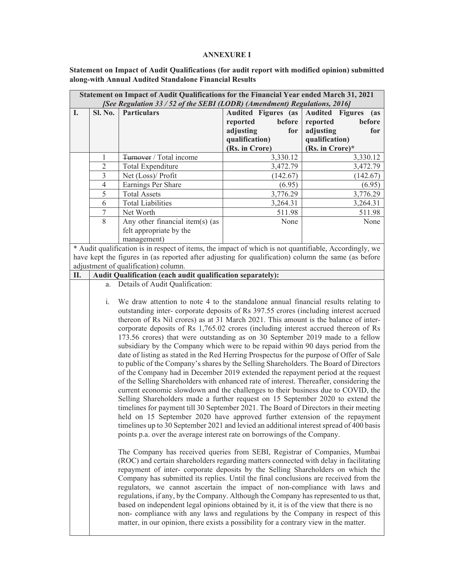### **ANNEXURE I**

**Statement on Impact of Audit Qualifications (for audit report with modified opinion) submitted along-with Annual Audited Standalone Financial Results** 

|     | <b>Statement on Impact of Audit Qualifications for the Financial Year ended March 31, 2021</b><br>[See Regulation 33 / 52 of the SEBI (LODR) (Amendment) Regulations, 2016] |                                                                                                                                                                                 |                            |                               |  |
|-----|-----------------------------------------------------------------------------------------------------------------------------------------------------------------------------|---------------------------------------------------------------------------------------------------------------------------------------------------------------------------------|----------------------------|-------------------------------|--|
| I.  | <b>Sl. No.</b>                                                                                                                                                              | <b>Particulars</b>                                                                                                                                                              | <b>Audited Figures (as</b> | <b>Audited Figures</b><br>(as |  |
|     |                                                                                                                                                                             |                                                                                                                                                                                 | reported<br>before         | before<br>reported            |  |
|     |                                                                                                                                                                             |                                                                                                                                                                                 | adjusting<br>for           | adjusting<br>for              |  |
|     |                                                                                                                                                                             |                                                                                                                                                                                 | qualification)             | qualification)                |  |
|     |                                                                                                                                                                             |                                                                                                                                                                                 | (Rs. in Crore)             | (Rs. in Crore)*               |  |
|     | 1                                                                                                                                                                           | Turnover / Total income                                                                                                                                                         | 3,330.12                   | 3,330.12                      |  |
|     | $\overline{2}$                                                                                                                                                              | <b>Total Expenditure</b>                                                                                                                                                        | 3,472.79                   | 3,472.79                      |  |
|     | $\overline{3}$                                                                                                                                                              | Net (Loss)/ Profit                                                                                                                                                              | (142.67)                   | (142.67)                      |  |
|     | $\overline{4}$                                                                                                                                                              | Earnings Per Share                                                                                                                                                              | (6.95)                     | (6.95)                        |  |
|     | 5                                                                                                                                                                           | <b>Total Assets</b>                                                                                                                                                             | 3,776.29                   | 3,776.29                      |  |
|     | 6                                                                                                                                                                           | <b>Total Liabilities</b>                                                                                                                                                        | 3,264.31                   | 3,264.31                      |  |
|     | $\overline{7}$                                                                                                                                                              | Net Worth                                                                                                                                                                       | 511.98                     | 511.98                        |  |
|     | 8                                                                                                                                                                           | Any other financial item(s) (as                                                                                                                                                 | None                       | None                          |  |
|     |                                                                                                                                                                             | felt appropriate by the                                                                                                                                                         |                            |                               |  |
|     |                                                                                                                                                                             | management)                                                                                                                                                                     |                            |                               |  |
|     |                                                                                                                                                                             | * Audit qualification is in respect of items, the impact of which is not quantifiable, Accordingly, we                                                                          |                            |                               |  |
|     |                                                                                                                                                                             | have kept the figures in (as reported after adjusting for qualification) column the same (as before<br>adjustment of qualification) column.                                     |                            |                               |  |
| II. |                                                                                                                                                                             | Audit Qualification (each audit qualification separately):                                                                                                                      |                            |                               |  |
|     | a.                                                                                                                                                                          | Details of Audit Qualification:                                                                                                                                                 |                            |                               |  |
|     |                                                                                                                                                                             |                                                                                                                                                                                 |                            |                               |  |
|     | i.                                                                                                                                                                          | We draw attention to note 4 to the standalone annual financial results relating to                                                                                              |                            |                               |  |
|     |                                                                                                                                                                             | outstanding inter- corporate deposits of Rs 397.55 crores (including interest accrued                                                                                           |                            |                               |  |
|     |                                                                                                                                                                             | thereon of Rs Nil crores) as at 31 March 2021. This amount is the balance of inter-                                                                                             |                            |                               |  |
|     |                                                                                                                                                                             | corporate deposits of Rs 1,765.02 crores (including interest accrued thereon of Rs                                                                                              |                            |                               |  |
|     |                                                                                                                                                                             | 173.56 crores) that were outstanding as on 30 September 2019 made to a fellow                                                                                                   |                            |                               |  |
|     |                                                                                                                                                                             | subsidiary by the Company which were to be repaid within 90 days period from the                                                                                                |                            |                               |  |
|     |                                                                                                                                                                             | date of listing as stated in the Red Herring Prospectus for the purpose of Offer of Sale                                                                                        |                            |                               |  |
|     |                                                                                                                                                                             | to public of the Company's shares by the Selling Shareholders. The Board of Directors                                                                                           |                            |                               |  |
|     |                                                                                                                                                                             | of the Company had in December 2019 extended the repayment period at the request                                                                                                |                            |                               |  |
|     | of the Selling Shareholders with enhanced rate of interest. Thereafter, considering the                                                                                     |                                                                                                                                                                                 |                            |                               |  |
|     |                                                                                                                                                                             | current economic slowdown and the challenges to their business due to COVID, the                                                                                                |                            |                               |  |
|     | Selling Shareholders made a further request on 15 September 2020 to extend the                                                                                              |                                                                                                                                                                                 |                            |                               |  |
|     | timelines for payment till 30 September 2021. The Board of Directors in their meeting                                                                                       |                                                                                                                                                                                 |                            |                               |  |
|     | held on 15 September 2020 have approved further extension of the repayment                                                                                                  |                                                                                                                                                                                 |                            |                               |  |
|     |                                                                                                                                                                             | timelines up to 30 September 2021 and levied an additional interest spread of 400 basis                                                                                         |                            |                               |  |
|     |                                                                                                                                                                             | points p.a. over the average interest rate on borrowings of the Company.                                                                                                        |                            |                               |  |
|     |                                                                                                                                                                             |                                                                                                                                                                                 |                            |                               |  |
|     |                                                                                                                                                                             | The Company has received queries from SEBI, Registrar of Companies, Mumbai                                                                                                      |                            |                               |  |
|     |                                                                                                                                                                             | (ROC) and certain shareholders regarding matters connected with delay in facilitating                                                                                           |                            |                               |  |
|     |                                                                                                                                                                             | repayment of inter- corporate deposits by the Selling Shareholders on which the                                                                                                 |                            |                               |  |
|     |                                                                                                                                                                             | Company has submitted its replies. Until the final conclusions are received from the                                                                                            |                            |                               |  |
|     |                                                                                                                                                                             | regulators, we cannot ascertain the impact of non-compliance with laws and                                                                                                      |                            |                               |  |
|     |                                                                                                                                                                             | regulations, if any, by the Company. Although the Company has represented to us that,<br>based on independent legal opinions obtained by it, it is of the view that there is no |                            |                               |  |
|     |                                                                                                                                                                             | non-compliance with any laws and regulations by the Company in respect of this                                                                                                  |                            |                               |  |
|     |                                                                                                                                                                             | matter, in our opinion, there exists a possibility for a contrary view in the matter.                                                                                           |                            |                               |  |
|     |                                                                                                                                                                             |                                                                                                                                                                                 |                            |                               |  |
|     |                                                                                                                                                                             |                                                                                                                                                                                 |                            |                               |  |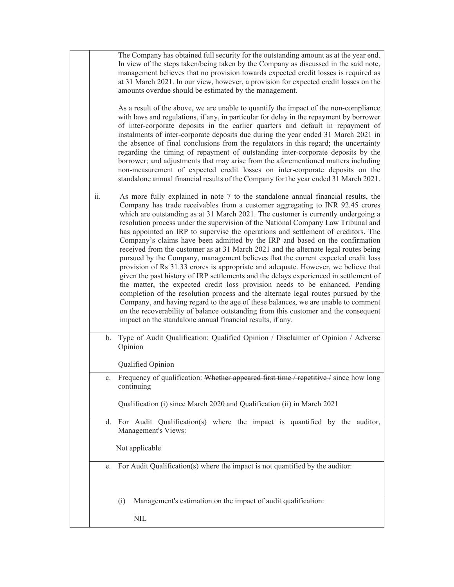|     | The Company has obtained full security for the outstanding amount as at the year end.<br>In view of the steps taken/being taken by the Company as discussed in the said note,<br>management believes that no provision towards expected credit losses is required as<br>at 31 March 2021. In our view, however, a provision for expected credit losses on the<br>amounts overdue should be estimated by the management.                                                                                                                                                                                                                                                                                                                                                                                                                                                                                                                                                                                                                                                                                                                                                                                                                                                                     |
|-----|---------------------------------------------------------------------------------------------------------------------------------------------------------------------------------------------------------------------------------------------------------------------------------------------------------------------------------------------------------------------------------------------------------------------------------------------------------------------------------------------------------------------------------------------------------------------------------------------------------------------------------------------------------------------------------------------------------------------------------------------------------------------------------------------------------------------------------------------------------------------------------------------------------------------------------------------------------------------------------------------------------------------------------------------------------------------------------------------------------------------------------------------------------------------------------------------------------------------------------------------------------------------------------------------|
|     | As a result of the above, we are unable to quantify the impact of the non-compliance<br>with laws and regulations, if any, in particular for delay in the repayment by borrower<br>of inter-corporate deposits in the earlier quarters and default in repayment of<br>instalments of inter-corporate deposits due during the year ended 31 March 2021 in<br>the absence of final conclusions from the regulators in this regard; the uncertainty<br>regarding the timing of repayment of outstanding inter-corporate deposits by the<br>borrower; and adjustments that may arise from the aforementioned matters including<br>non-measurement of expected credit losses on inter-corporate deposits on the<br>standalone annual financial results of the Company for the year ended 31 March 2021.                                                                                                                                                                                                                                                                                                                                                                                                                                                                                          |
| ii. | As more fully explained in note 7 to the standalone annual financial results, the<br>Company has trade receivables from a customer aggregating to INR 92.45 crores<br>which are outstanding as at 31 March 2021. The customer is currently undergoing a<br>resolution process under the supervision of the National Company Law Tribunal and<br>has appointed an IRP to supervise the operations and settlement of creditors. The<br>Company's claims have been admitted by the IRP and based on the confirmation<br>received from the customer as at 31 March 2021 and the alternate legal routes being<br>pursued by the Company, management believes that the current expected credit loss<br>provision of Rs 31.33 crores is appropriate and adequate. However, we believe that<br>given the past history of IRP settlements and the delays experienced in settlement of<br>the matter, the expected credit loss provision needs to be enhanced. Pending<br>completion of the resolution process and the alternate legal routes pursued by the<br>Company, and having regard to the age of these balances, we are unable to comment<br>on the recoverability of balance outstanding from this customer and the consequent<br>impact on the standalone annual financial results, if any. |
| b.  | Type of Audit Qualification: Qualified Opinion / Disclaimer of Opinion / Adverse<br>Opinion                                                                                                                                                                                                                                                                                                                                                                                                                                                                                                                                                                                                                                                                                                                                                                                                                                                                                                                                                                                                                                                                                                                                                                                                 |
|     | Qualified Opinion                                                                                                                                                                                                                                                                                                                                                                                                                                                                                                                                                                                                                                                                                                                                                                                                                                                                                                                                                                                                                                                                                                                                                                                                                                                                           |
| c.  | Frequency of qualification: Whether appeared first time / repetitive / since how long<br>continuing                                                                                                                                                                                                                                                                                                                                                                                                                                                                                                                                                                                                                                                                                                                                                                                                                                                                                                                                                                                                                                                                                                                                                                                         |
|     | Qualification (i) since March 2020 and Qualification (ii) in March 2021                                                                                                                                                                                                                                                                                                                                                                                                                                                                                                                                                                                                                                                                                                                                                                                                                                                                                                                                                                                                                                                                                                                                                                                                                     |
|     | d. For Audit Qualification(s) where the impact is quantified by the auditor,<br>Management's Views:                                                                                                                                                                                                                                                                                                                                                                                                                                                                                                                                                                                                                                                                                                                                                                                                                                                                                                                                                                                                                                                                                                                                                                                         |
|     | Not applicable                                                                                                                                                                                                                                                                                                                                                                                                                                                                                                                                                                                                                                                                                                                                                                                                                                                                                                                                                                                                                                                                                                                                                                                                                                                                              |
|     | e. For Audit Qualification(s) where the impact is not quantified by the auditor:                                                                                                                                                                                                                                                                                                                                                                                                                                                                                                                                                                                                                                                                                                                                                                                                                                                                                                                                                                                                                                                                                                                                                                                                            |
|     | Management's estimation on the impact of audit qualification:<br>(i)                                                                                                                                                                                                                                                                                                                                                                                                                                                                                                                                                                                                                                                                                                                                                                                                                                                                                                                                                                                                                                                                                                                                                                                                                        |
|     | <b>NIL</b>                                                                                                                                                                                                                                                                                                                                                                                                                                                                                                                                                                                                                                                                                                                                                                                                                                                                                                                                                                                                                                                                                                                                                                                                                                                                                  |